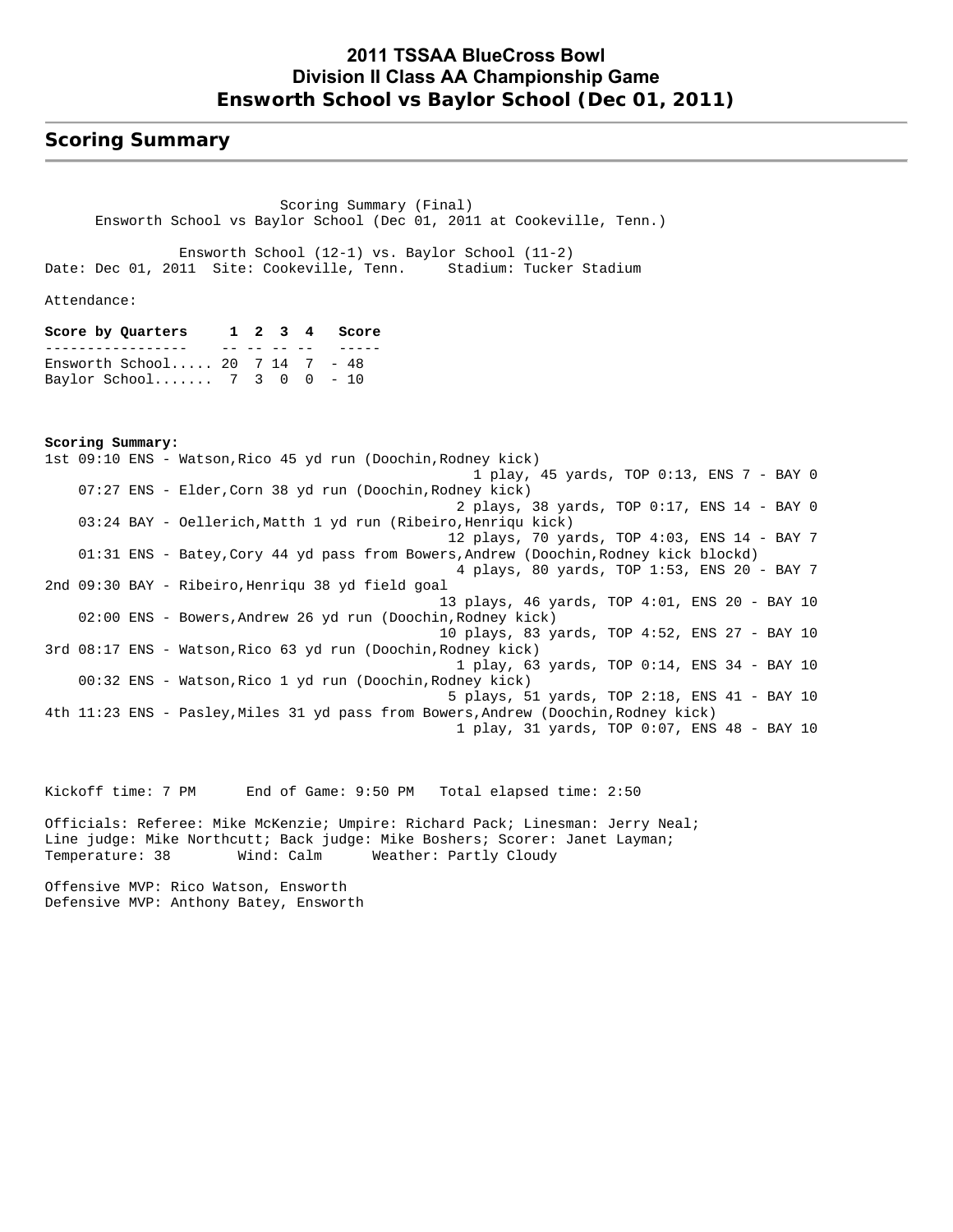### **Scoring Summary**

 Scoring Summary (Final) Ensworth School vs Baylor School (Dec 01, 2011 at Cookeville, Tenn.)

 Ensworth School (12-1) vs. Baylor School (11-2) Date: Dec 01, 2011 Site: Cookeville, Tenn. Stadium: Tucker Stadium

Attendance:

**Score by Quarters 1 2 3 4 Score** ----------------- -- -- -- -- ----- Ensworth School..... 20 7 14 7 - 48 Baylor School....... 7 3 0 0 - 10

**Scoring Summary:** 1st 09:10 ENS - Watson,Rico 45 yd run (Doochin,Rodney kick) 1 play, 45 yards, TOP 0:13, ENS 7 - BAY 0 07:27 ENS - Elder,Corn 38 yd run (Doochin,Rodney kick) 2 plays, 38 yards, TOP 0:17, ENS 14 - BAY 0 03:24 BAY - Oellerich,Matth 1 yd run (Ribeiro,Henriqu kick) 12 plays, 70 yards, TOP 4:03, ENS 14 - BAY 7 01:31 ENS - Batey,Cory 44 yd pass from Bowers,Andrew (Doochin,Rodney kick blockd) 4 plays, 80 yards, TOP 1:53, ENS 20 - BAY 7 2nd 09:30 BAY - Ribeiro,Henriqu 38 yd field goal 13 plays, 46 yards, TOP 4:01, ENS 20 - BAY 10 02:00 ENS - Bowers,Andrew 26 yd run (Doochin,Rodney kick) 10 plays, 83 yards, TOP 4:52, ENS 27 - BAY 10 3rd 08:17 ENS - Watson,Rico 63 yd run (Doochin,Rodney kick) 1 play, 63 yards, TOP 0:14, ENS 34 - BAY 10 00:32 ENS - Watson,Rico 1 yd run (Doochin,Rodney kick) 5 plays, 51 yards, TOP 2:18, ENS 41 - BAY 10 4th 11:23 ENS - Pasley,Miles 31 yd pass from Bowers,Andrew (Doochin,Rodney kick) 1 play, 31 yards, TOP 0:07, ENS 48 - BAY 10

Kickoff time: 7 PM End of Game: 9:50 PM Total elapsed time: 2:50

Officials: Referee: Mike McKenzie; Umpire: Richard Pack; Linesman: Jerry Neal; Line judge: Mike Northcutt; Back judge: Mike Boshers; Scorer: Janet Layman; Temperature: 38 Wind: Calm Weather: Partly Cloudy

Offensive MVP: Rico Watson, Ensworth Defensive MVP: Anthony Batey, Ensworth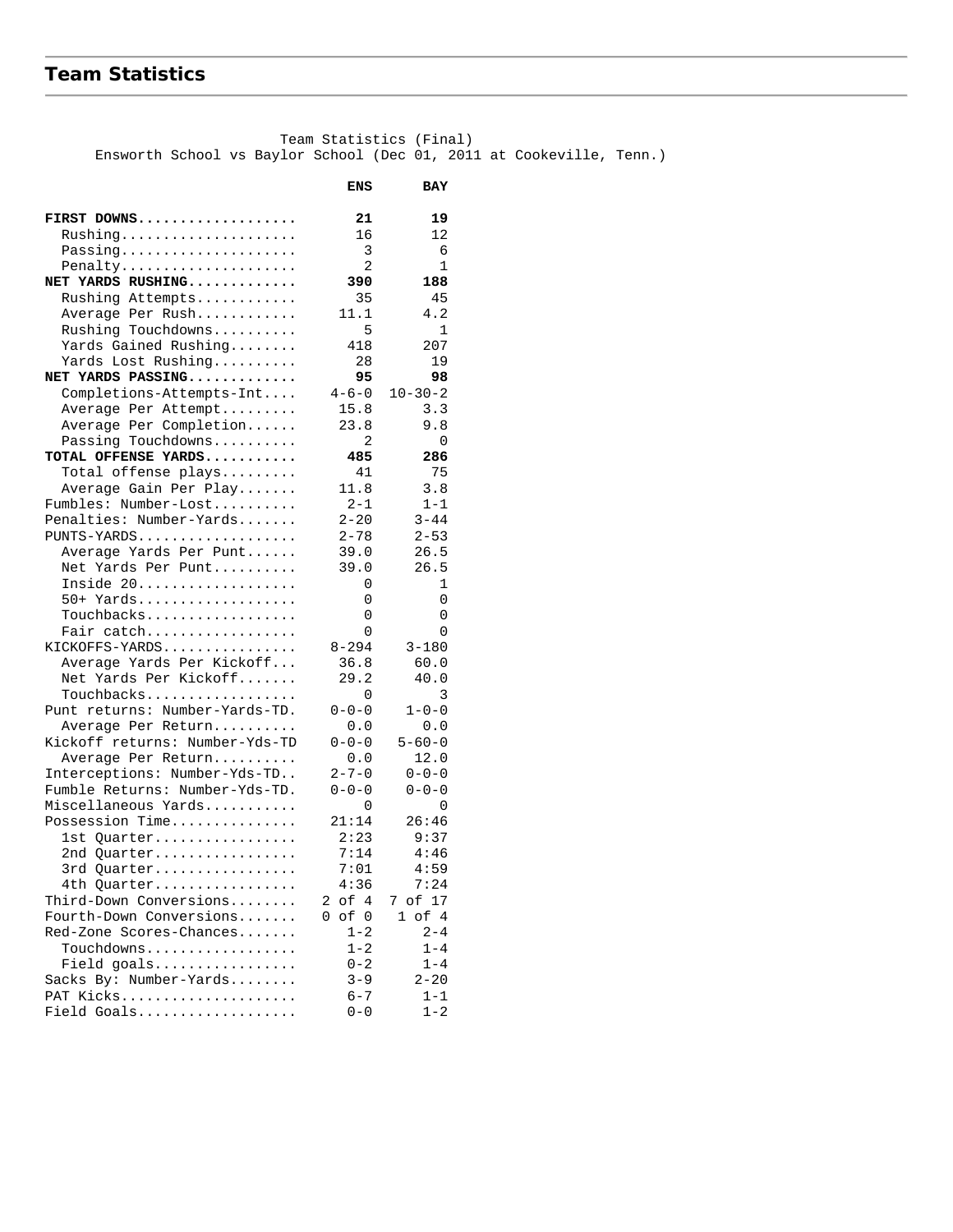# **Team Statistics**

 Team Statistics (Final) Ensworth School vs Baylor School (Dec 01, 2011 at Cookeville, Tenn.)

| FIRST DOWNS<br>21<br>19<br>$Rushing \ldots \ldots \ldots \ldots$<br>16<br>12<br>3<br>Passing<br>6<br>2<br>1<br>Penalty<br>NET YARDS RUSHING<br>390<br>188<br>Rushing Attempts<br>35<br>45<br>11.1<br>4.2<br>Average Per Rush<br>Rushing Touchdowns<br>5<br>$\mathbf{1}$<br>Yards Gained Rushing<br>418<br>207<br>Yards Lost Rushing<br>28<br>19<br>95<br>NET YARDS PASSING<br>98<br>Completions-Attempts-Int<br>$4 - 6 - 0$<br>$10 - 30 - 2$<br>15.8<br>Average Per Attempt<br>3.3<br>Average Per Completion<br>23.8<br>9.8<br>$\overline{a}$<br>Passing Touchdowns<br>0<br>TOTAL OFFENSE YARDS<br>485<br>286<br>41<br>75<br>Total offense plays<br>11.8<br>3.8<br>Average Gain Per Play<br>Fumbles: Number-Lost<br>$2 - 1$<br>$1 - 1$<br>Penalties: Number-Yards<br>$2 - 20$<br>$3 - 44$<br>PUNTS-YARDS<br>$2 - 78$<br>$2 - 53$<br>Average Yards Per Punt<br>39.0<br>26.5<br>Net Yards Per Punt<br>39.0<br>26.5<br>Inside 20<br>0<br>1<br>50+ Yards<br>0<br>0<br>Touchbacks<br>0<br>0<br>Fair catch<br>0<br>0<br>KICKOFFS-YARDS<br>$8 - 294$<br>$3 - 180$<br>Average Yards Per Kickoff<br>36.8<br>60.0<br>Net Yards Per Kickoff<br>29.2<br>40.0<br>Touchbacks<br>0<br>3<br>Punt returns: Number-Yards-TD.<br>$0 - 0 - 0$<br>$1 - 0 - 0$<br>0.0<br>0.0<br>Average Per Return<br>Kickoff returns: Number-Yds-TD<br>$0 - 0 - 0$<br>$5 - 60 - 0$<br>0.0<br>12.0<br>Average Per Return<br>$2 - 7 - 0$<br>Interceptions: Number-Yds-TD<br>$0 - 0 - 0$<br>Fumble Returns: Number-Yds-TD.<br>$0 - 0 - 0$<br>$0 - 0 - 0$<br>Miscellaneous Yards<br>0<br>0<br>Possession Time<br>21:14<br>26:46<br>2:23<br>9:37<br>1st Quarter<br>7:14<br>4:46<br>2nd Quarter<br>7:01<br>4:59<br>3rd Quarter<br>4th Quarter<br>4:36<br>7:24<br>Third-Down Conversions<br>2 of 4<br>7 of 17<br>$1$ of $4$<br>Fourth-Down Conversions<br>of<br>0<br>0<br>Red-Zone Scores-Chances<br>$1 - 2$<br>$2 - 4$<br>Touchdowns<br>$1 - 2$<br>$1 - 4$<br>$0 - 2$<br>$1 - 4$<br>Field goals<br>Sacks By: Number-Yards<br>$3 - 9$<br>$2 - 20$ |           | ENS     | <b>BAY</b> |
|-------------------------------------------------------------------------------------------------------------------------------------------------------------------------------------------------------------------------------------------------------------------------------------------------------------------------------------------------------------------------------------------------------------------------------------------------------------------------------------------------------------------------------------------------------------------------------------------------------------------------------------------------------------------------------------------------------------------------------------------------------------------------------------------------------------------------------------------------------------------------------------------------------------------------------------------------------------------------------------------------------------------------------------------------------------------------------------------------------------------------------------------------------------------------------------------------------------------------------------------------------------------------------------------------------------------------------------------------------------------------------------------------------------------------------------------------------------------------------------------------------------------------------------------------------------------------------------------------------------------------------------------------------------------------------------------------------------------------------------------------------------------------------------------------------------------------------------------------------------------------------------------------------------------------------------------------------------------------------------------------------|-----------|---------|------------|
|                                                                                                                                                                                                                                                                                                                                                                                                                                                                                                                                                                                                                                                                                                                                                                                                                                                                                                                                                                                                                                                                                                                                                                                                                                                                                                                                                                                                                                                                                                                                                                                                                                                                                                                                                                                                                                                                                                                                                                                                       |           |         |            |
|                                                                                                                                                                                                                                                                                                                                                                                                                                                                                                                                                                                                                                                                                                                                                                                                                                                                                                                                                                                                                                                                                                                                                                                                                                                                                                                                                                                                                                                                                                                                                                                                                                                                                                                                                                                                                                                                                                                                                                                                       |           |         |            |
|                                                                                                                                                                                                                                                                                                                                                                                                                                                                                                                                                                                                                                                                                                                                                                                                                                                                                                                                                                                                                                                                                                                                                                                                                                                                                                                                                                                                                                                                                                                                                                                                                                                                                                                                                                                                                                                                                                                                                                                                       |           |         |            |
|                                                                                                                                                                                                                                                                                                                                                                                                                                                                                                                                                                                                                                                                                                                                                                                                                                                                                                                                                                                                                                                                                                                                                                                                                                                                                                                                                                                                                                                                                                                                                                                                                                                                                                                                                                                                                                                                                                                                                                                                       |           |         |            |
|                                                                                                                                                                                                                                                                                                                                                                                                                                                                                                                                                                                                                                                                                                                                                                                                                                                                                                                                                                                                                                                                                                                                                                                                                                                                                                                                                                                                                                                                                                                                                                                                                                                                                                                                                                                                                                                                                                                                                                                                       |           |         |            |
|                                                                                                                                                                                                                                                                                                                                                                                                                                                                                                                                                                                                                                                                                                                                                                                                                                                                                                                                                                                                                                                                                                                                                                                                                                                                                                                                                                                                                                                                                                                                                                                                                                                                                                                                                                                                                                                                                                                                                                                                       |           |         |            |
|                                                                                                                                                                                                                                                                                                                                                                                                                                                                                                                                                                                                                                                                                                                                                                                                                                                                                                                                                                                                                                                                                                                                                                                                                                                                                                                                                                                                                                                                                                                                                                                                                                                                                                                                                                                                                                                                                                                                                                                                       |           |         |            |
|                                                                                                                                                                                                                                                                                                                                                                                                                                                                                                                                                                                                                                                                                                                                                                                                                                                                                                                                                                                                                                                                                                                                                                                                                                                                                                                                                                                                                                                                                                                                                                                                                                                                                                                                                                                                                                                                                                                                                                                                       |           |         |            |
|                                                                                                                                                                                                                                                                                                                                                                                                                                                                                                                                                                                                                                                                                                                                                                                                                                                                                                                                                                                                                                                                                                                                                                                                                                                                                                                                                                                                                                                                                                                                                                                                                                                                                                                                                                                                                                                                                                                                                                                                       |           |         |            |
|                                                                                                                                                                                                                                                                                                                                                                                                                                                                                                                                                                                                                                                                                                                                                                                                                                                                                                                                                                                                                                                                                                                                                                                                                                                                                                                                                                                                                                                                                                                                                                                                                                                                                                                                                                                                                                                                                                                                                                                                       |           |         |            |
|                                                                                                                                                                                                                                                                                                                                                                                                                                                                                                                                                                                                                                                                                                                                                                                                                                                                                                                                                                                                                                                                                                                                                                                                                                                                                                                                                                                                                                                                                                                                                                                                                                                                                                                                                                                                                                                                                                                                                                                                       |           |         |            |
|                                                                                                                                                                                                                                                                                                                                                                                                                                                                                                                                                                                                                                                                                                                                                                                                                                                                                                                                                                                                                                                                                                                                                                                                                                                                                                                                                                                                                                                                                                                                                                                                                                                                                                                                                                                                                                                                                                                                                                                                       |           |         |            |
|                                                                                                                                                                                                                                                                                                                                                                                                                                                                                                                                                                                                                                                                                                                                                                                                                                                                                                                                                                                                                                                                                                                                                                                                                                                                                                                                                                                                                                                                                                                                                                                                                                                                                                                                                                                                                                                                                                                                                                                                       |           |         |            |
|                                                                                                                                                                                                                                                                                                                                                                                                                                                                                                                                                                                                                                                                                                                                                                                                                                                                                                                                                                                                                                                                                                                                                                                                                                                                                                                                                                                                                                                                                                                                                                                                                                                                                                                                                                                                                                                                                                                                                                                                       |           |         |            |
|                                                                                                                                                                                                                                                                                                                                                                                                                                                                                                                                                                                                                                                                                                                                                                                                                                                                                                                                                                                                                                                                                                                                                                                                                                                                                                                                                                                                                                                                                                                                                                                                                                                                                                                                                                                                                                                                                                                                                                                                       |           |         |            |
|                                                                                                                                                                                                                                                                                                                                                                                                                                                                                                                                                                                                                                                                                                                                                                                                                                                                                                                                                                                                                                                                                                                                                                                                                                                                                                                                                                                                                                                                                                                                                                                                                                                                                                                                                                                                                                                                                                                                                                                                       |           |         |            |
|                                                                                                                                                                                                                                                                                                                                                                                                                                                                                                                                                                                                                                                                                                                                                                                                                                                                                                                                                                                                                                                                                                                                                                                                                                                                                                                                                                                                                                                                                                                                                                                                                                                                                                                                                                                                                                                                                                                                                                                                       |           |         |            |
|                                                                                                                                                                                                                                                                                                                                                                                                                                                                                                                                                                                                                                                                                                                                                                                                                                                                                                                                                                                                                                                                                                                                                                                                                                                                                                                                                                                                                                                                                                                                                                                                                                                                                                                                                                                                                                                                                                                                                                                                       |           |         |            |
|                                                                                                                                                                                                                                                                                                                                                                                                                                                                                                                                                                                                                                                                                                                                                                                                                                                                                                                                                                                                                                                                                                                                                                                                                                                                                                                                                                                                                                                                                                                                                                                                                                                                                                                                                                                                                                                                                                                                                                                                       |           |         |            |
|                                                                                                                                                                                                                                                                                                                                                                                                                                                                                                                                                                                                                                                                                                                                                                                                                                                                                                                                                                                                                                                                                                                                                                                                                                                                                                                                                                                                                                                                                                                                                                                                                                                                                                                                                                                                                                                                                                                                                                                                       |           |         |            |
|                                                                                                                                                                                                                                                                                                                                                                                                                                                                                                                                                                                                                                                                                                                                                                                                                                                                                                                                                                                                                                                                                                                                                                                                                                                                                                                                                                                                                                                                                                                                                                                                                                                                                                                                                                                                                                                                                                                                                                                                       |           |         |            |
|                                                                                                                                                                                                                                                                                                                                                                                                                                                                                                                                                                                                                                                                                                                                                                                                                                                                                                                                                                                                                                                                                                                                                                                                                                                                                                                                                                                                                                                                                                                                                                                                                                                                                                                                                                                                                                                                                                                                                                                                       |           |         |            |
|                                                                                                                                                                                                                                                                                                                                                                                                                                                                                                                                                                                                                                                                                                                                                                                                                                                                                                                                                                                                                                                                                                                                                                                                                                                                                                                                                                                                                                                                                                                                                                                                                                                                                                                                                                                                                                                                                                                                                                                                       |           |         |            |
|                                                                                                                                                                                                                                                                                                                                                                                                                                                                                                                                                                                                                                                                                                                                                                                                                                                                                                                                                                                                                                                                                                                                                                                                                                                                                                                                                                                                                                                                                                                                                                                                                                                                                                                                                                                                                                                                                                                                                                                                       |           |         |            |
|                                                                                                                                                                                                                                                                                                                                                                                                                                                                                                                                                                                                                                                                                                                                                                                                                                                                                                                                                                                                                                                                                                                                                                                                                                                                                                                                                                                                                                                                                                                                                                                                                                                                                                                                                                                                                                                                                                                                                                                                       |           |         |            |
|                                                                                                                                                                                                                                                                                                                                                                                                                                                                                                                                                                                                                                                                                                                                                                                                                                                                                                                                                                                                                                                                                                                                                                                                                                                                                                                                                                                                                                                                                                                                                                                                                                                                                                                                                                                                                                                                                                                                                                                                       |           |         |            |
|                                                                                                                                                                                                                                                                                                                                                                                                                                                                                                                                                                                                                                                                                                                                                                                                                                                                                                                                                                                                                                                                                                                                                                                                                                                                                                                                                                                                                                                                                                                                                                                                                                                                                                                                                                                                                                                                                                                                                                                                       |           |         |            |
|                                                                                                                                                                                                                                                                                                                                                                                                                                                                                                                                                                                                                                                                                                                                                                                                                                                                                                                                                                                                                                                                                                                                                                                                                                                                                                                                                                                                                                                                                                                                                                                                                                                                                                                                                                                                                                                                                                                                                                                                       |           |         |            |
|                                                                                                                                                                                                                                                                                                                                                                                                                                                                                                                                                                                                                                                                                                                                                                                                                                                                                                                                                                                                                                                                                                                                                                                                                                                                                                                                                                                                                                                                                                                                                                                                                                                                                                                                                                                                                                                                                                                                                                                                       |           |         |            |
|                                                                                                                                                                                                                                                                                                                                                                                                                                                                                                                                                                                                                                                                                                                                                                                                                                                                                                                                                                                                                                                                                                                                                                                                                                                                                                                                                                                                                                                                                                                                                                                                                                                                                                                                                                                                                                                                                                                                                                                                       |           |         |            |
|                                                                                                                                                                                                                                                                                                                                                                                                                                                                                                                                                                                                                                                                                                                                                                                                                                                                                                                                                                                                                                                                                                                                                                                                                                                                                                                                                                                                                                                                                                                                                                                                                                                                                                                                                                                                                                                                                                                                                                                                       |           |         |            |
|                                                                                                                                                                                                                                                                                                                                                                                                                                                                                                                                                                                                                                                                                                                                                                                                                                                                                                                                                                                                                                                                                                                                                                                                                                                                                                                                                                                                                                                                                                                                                                                                                                                                                                                                                                                                                                                                                                                                                                                                       |           |         |            |
|                                                                                                                                                                                                                                                                                                                                                                                                                                                                                                                                                                                                                                                                                                                                                                                                                                                                                                                                                                                                                                                                                                                                                                                                                                                                                                                                                                                                                                                                                                                                                                                                                                                                                                                                                                                                                                                                                                                                                                                                       |           |         |            |
|                                                                                                                                                                                                                                                                                                                                                                                                                                                                                                                                                                                                                                                                                                                                                                                                                                                                                                                                                                                                                                                                                                                                                                                                                                                                                                                                                                                                                                                                                                                                                                                                                                                                                                                                                                                                                                                                                                                                                                                                       |           |         |            |
|                                                                                                                                                                                                                                                                                                                                                                                                                                                                                                                                                                                                                                                                                                                                                                                                                                                                                                                                                                                                                                                                                                                                                                                                                                                                                                                                                                                                                                                                                                                                                                                                                                                                                                                                                                                                                                                                                                                                                                                                       |           |         |            |
|                                                                                                                                                                                                                                                                                                                                                                                                                                                                                                                                                                                                                                                                                                                                                                                                                                                                                                                                                                                                                                                                                                                                                                                                                                                                                                                                                                                                                                                                                                                                                                                                                                                                                                                                                                                                                                                                                                                                                                                                       |           |         |            |
|                                                                                                                                                                                                                                                                                                                                                                                                                                                                                                                                                                                                                                                                                                                                                                                                                                                                                                                                                                                                                                                                                                                                                                                                                                                                                                                                                                                                                                                                                                                                                                                                                                                                                                                                                                                                                                                                                                                                                                                                       |           |         |            |
|                                                                                                                                                                                                                                                                                                                                                                                                                                                                                                                                                                                                                                                                                                                                                                                                                                                                                                                                                                                                                                                                                                                                                                                                                                                                                                                                                                                                                                                                                                                                                                                                                                                                                                                                                                                                                                                                                                                                                                                                       |           |         |            |
|                                                                                                                                                                                                                                                                                                                                                                                                                                                                                                                                                                                                                                                                                                                                                                                                                                                                                                                                                                                                                                                                                                                                                                                                                                                                                                                                                                                                                                                                                                                                                                                                                                                                                                                                                                                                                                                                                                                                                                                                       |           |         |            |
|                                                                                                                                                                                                                                                                                                                                                                                                                                                                                                                                                                                                                                                                                                                                                                                                                                                                                                                                                                                                                                                                                                                                                                                                                                                                                                                                                                                                                                                                                                                                                                                                                                                                                                                                                                                                                                                                                                                                                                                                       |           |         |            |
|                                                                                                                                                                                                                                                                                                                                                                                                                                                                                                                                                                                                                                                                                                                                                                                                                                                                                                                                                                                                                                                                                                                                                                                                                                                                                                                                                                                                                                                                                                                                                                                                                                                                                                                                                                                                                                                                                                                                                                                                       |           |         |            |
|                                                                                                                                                                                                                                                                                                                                                                                                                                                                                                                                                                                                                                                                                                                                                                                                                                                                                                                                                                                                                                                                                                                                                                                                                                                                                                                                                                                                                                                                                                                                                                                                                                                                                                                                                                                                                                                                                                                                                                                                       |           |         |            |
|                                                                                                                                                                                                                                                                                                                                                                                                                                                                                                                                                                                                                                                                                                                                                                                                                                                                                                                                                                                                                                                                                                                                                                                                                                                                                                                                                                                                                                                                                                                                                                                                                                                                                                                                                                                                                                                                                                                                                                                                       |           |         |            |
|                                                                                                                                                                                                                                                                                                                                                                                                                                                                                                                                                                                                                                                                                                                                                                                                                                                                                                                                                                                                                                                                                                                                                                                                                                                                                                                                                                                                                                                                                                                                                                                                                                                                                                                                                                                                                                                                                                                                                                                                       |           |         |            |
|                                                                                                                                                                                                                                                                                                                                                                                                                                                                                                                                                                                                                                                                                                                                                                                                                                                                                                                                                                                                                                                                                                                                                                                                                                                                                                                                                                                                                                                                                                                                                                                                                                                                                                                                                                                                                                                                                                                                                                                                       |           |         |            |
|                                                                                                                                                                                                                                                                                                                                                                                                                                                                                                                                                                                                                                                                                                                                                                                                                                                                                                                                                                                                                                                                                                                                                                                                                                                                                                                                                                                                                                                                                                                                                                                                                                                                                                                                                                                                                                                                                                                                                                                                       |           |         |            |
|                                                                                                                                                                                                                                                                                                                                                                                                                                                                                                                                                                                                                                                                                                                                                                                                                                                                                                                                                                                                                                                                                                                                                                                                                                                                                                                                                                                                                                                                                                                                                                                                                                                                                                                                                                                                                                                                                                                                                                                                       |           |         |            |
|                                                                                                                                                                                                                                                                                                                                                                                                                                                                                                                                                                                                                                                                                                                                                                                                                                                                                                                                                                                                                                                                                                                                                                                                                                                                                                                                                                                                                                                                                                                                                                                                                                                                                                                                                                                                                                                                                                                                                                                                       |           |         |            |
|                                                                                                                                                                                                                                                                                                                                                                                                                                                                                                                                                                                                                                                                                                                                                                                                                                                                                                                                                                                                                                                                                                                                                                                                                                                                                                                                                                                                                                                                                                                                                                                                                                                                                                                                                                                                                                                                                                                                                                                                       |           |         |            |
|                                                                                                                                                                                                                                                                                                                                                                                                                                                                                                                                                                                                                                                                                                                                                                                                                                                                                                                                                                                                                                                                                                                                                                                                                                                                                                                                                                                                                                                                                                                                                                                                                                                                                                                                                                                                                                                                                                                                                                                                       | PAT Kicks | $6 - 7$ | $1 - 1$    |
| Field Goals<br>$1 - 2$<br>$0 - 0$                                                                                                                                                                                                                                                                                                                                                                                                                                                                                                                                                                                                                                                                                                                                                                                                                                                                                                                                                                                                                                                                                                                                                                                                                                                                                                                                                                                                                                                                                                                                                                                                                                                                                                                                                                                                                                                                                                                                                                     |           |         |            |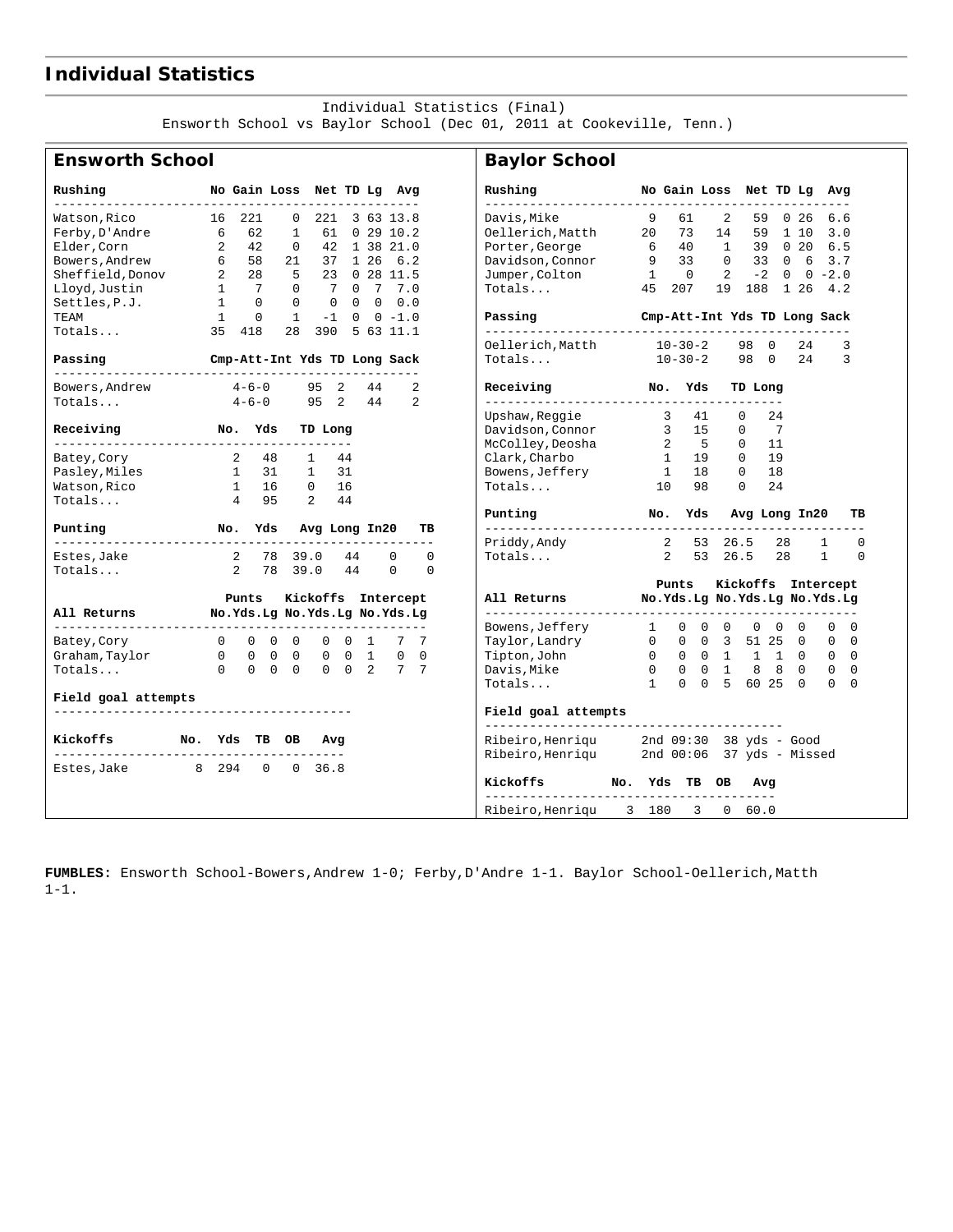## **Individual Statistics**

#### Individual Statistics (Final)

Ensworth School vs Baylor School (Dec 01, 2011 at Cookeville, Tenn.)

 $\mathbf{I}$ 

#### **Ensworth School**

|  |  |  | <b>Baylor School</b> |  |
|--|--|--|----------------------|--|
|--|--|--|----------------------|--|

| Rushing                                               |                | No Gain Loss Net TD Lg Avg   |                    |                                                                    |    |    |              |                | Rushing                                                                                |            |                        |    | No Gain Loss Net TD Lg Avg             |                |            |                   |                      |
|-------------------------------------------------------|----------------|------------------------------|--------------------|--------------------------------------------------------------------|----|----|--------------|----------------|----------------------------------------------------------------------------------------|------------|------------------------|----|----------------------------------------|----------------|------------|-------------------|----------------------|
| Watson,Rico 16 221                                    |                |                              | $\Omega$           | 221 3 63 13.8                                                      |    |    |              |                | Davis,Mike                                                                             | 9          | 61                     | 2  | 59                                     |                | $0\quad26$ | 6.6               |                      |
| Ferby, D'Andre 6                                      |                | 62                           | $\mathbf{1}$       |                                                                    |    |    | 61 0 29 10.2 |                | Oellerich, Matth 20                                                                    |            | 73                     |    | 14                                     |                | 59 1 10    | 3.0               |                      |
| Elder, Corn                                           | $\overline{2}$ | 42                           | $\Omega$           |                                                                    |    |    | 42 1 38 21.0 |                | Porter, George 6 40<br>Davidson, Connor 9 33                                           |            |                        |    | 40 1 39 0 20 6.5                       |                |            |                   |                      |
| Bowers, Andrew 6                                      |                | 58                           | 21                 | 37 1 26 6.2                                                        |    |    |              |                |                                                                                        |            |                        |    | 0 33 0 6 3.7                           |                |            |                   |                      |
| Sheffield, Donov 2 28<br>Lloyd, Justin 1 7            |                |                              | 5                  | 23 0 28 11.5                                                       |    |    |              |                | Jumper, Colton                                                                         |            | $1 \qquad 0$           | 2  | $-2$ 0 0 $-2.0$                        |                |            |                   |                      |
| Lloyd, Justin                                         |                | 1 7                          | $\Omega$           | 7 0 7 7.0                                                          |    |    |              |                | Totals                                                                                 |            | 45 207                 |    | 19  188  1  26  4.2                    |                |            |                   |                      |
| Settles, $P.J.$ $1 0$                                 |                |                              | $\Omega$           | $\begin{array}{ccccccccccccc}\n0 & 0 & 0 & 0 & 0 & 0\n\end{array}$ |    |    |              |                |                                                                                        |            |                        |    |                                        |                |            |                   |                      |
| <b>TEAM</b>                                           | $\mathbf{1}$   | $\Omega$                     | $\mathbf{1}$       | $-1$ 0 0 $-1.0$                                                    |    |    |              |                | Passing                                                                                |            |                        |    | Cmp-Att-Int Yds TD Long Sack           |                |            |                   |                      |
| Totals                                                |                | 35 418                       | 28 390 5 63 11.1   |                                                                    |    |    |              |                |                                                                                        |            |                        |    |                                        |                |            |                   |                      |
|                                                       |                |                              |                    |                                                                    |    |    |              |                | Oellerich, Matth 10-30-2                                                               |            |                        |    | 98 0                                   |                | 24         |                   | 3                    |
| Passing                                               |                | Cmp-Att-Int Yds TD Long Sack |                    |                                                                    |    |    |              |                | Totals                                                                                 |            | $10 - 30 - 2$          |    | 98 0 24                                |                |            |                   | 3                    |
| -----------------------<br>Bowers, Andrew             |                | $4-6-0$ 95 2                 |                    |                                                                    |    |    | 44           | 2              | Receiving No. Yds TD Long                                                              |            |                        |    |                                        |                |            |                   |                      |
| Totals                                                |                | $4 - 6 - 0$                  |                    | 95 2                                                               |    | 44 |              | $\overline{2}$ | Upshaw, Reggie 3                                                                       |            |                        | 41 | $\Omega$                               | 24             |            |                   |                      |
| Receiving No. Yds                                     |                |                              |                    | TD Long                                                            |    |    |              |                |                                                                                        |            |                        |    | $\overline{0}$                         | $\overline{7}$ |            |                   |                      |
|                                                       |                |                              |                    |                                                                    |    |    |              |                | Davidson, Connor 15<br>McColley, Deosha 25                                             |            |                        |    | $\Omega$                               | - 11           |            |                   |                      |
| Batey,Cory                                            |                | 2 48                         | $\mathbf{1}$       |                                                                    | 44 |    |              |                | Clark,Charbo                                                                           |            | 1 19                   |    | $\Omega$                               | 19             |            |                   |                      |
|                                                       |                | 1 31                         |                    | $\mathbf{1}$                                                       | 31 |    |              |                | Bowens, Jeffery                                                                        |            | 1 18                   |    | $\Omega$                               | 18             |            |                   |                      |
| Pasley,Miles                                          |                |                              |                    |                                                                    |    |    |              |                |                                                                                        |            |                        |    |                                        |                |            |                   |                      |
| Watson, Rico                                          |                | 1 16 0 16                    |                    |                                                                    |    |    |              |                | Totals                                                                                 |            | 10                     | 98 | $\mathbf 0$                            | 24             |            |                   |                      |
| Totals                                                |                | 4 95                         |                    | $2^{\circ}$                                                        | 44 |    |              |                | Punting Mo. Yds Avg Long In20                                                          |            |                        |    |                                        |                |            |                   | TВ                   |
| Punting<br>No. Yds Avg Long In20                      |                |                              |                    |                                                                    |    |    |              | TВ<br>----     | _______________________                                                                |            |                        |    |                                        |                |            |                   |                      |
| Estes,Jake                                            |                | 2 78 39.0                    |                    |                                                                    | 44 |    | $\Omega$     | $\Omega$       | Priddy, Andy<br>Totals                                                                 |            | 2 53 26.5<br>2 53 26.5 |    |                                        | 28<br>28       |            | 1<br>$\mathbf{1}$ | $\Omega$<br>$\Omega$ |
| Totals                                                |                | 2 78 39.0 44                 |                    |                                                                    |    |    | $\Omega$     | $\Omega$       |                                                                                        |            |                        |    |                                        |                |            |                   |                      |
|                                                       |                |                              |                    |                                                                    |    |    |              |                |                                                                                        |            | Punts                  |    | Kickoffs Intercept                     |                |            |                   |                      |
|                                                       | Punts          |                              | Kickoffs Intercept |                                                                    |    |    |              |                | All Returns Mo.Yds.Lg No.Yds.Lg No.Yds.Lg                                              |            |                        |    |                                        |                |            |                   |                      |
| All Returns Mo.Yds.Lg No.Yds.Lg No.Yds.Lg             |                |                              |                    |                                                                    |    |    |              |                | Bowens,Jeffery                                                                         | 1          |                        |    | $0\quad 0\quad 0\quad 0\quad 0\quad 0$ |                |            | $\Omega$          | $\Omega$             |
| Batey, Cory                                           |                | 0 0 0 0 0 0 1 7 7            |                    |                                                                    |    |    |              |                | Taylor, Landry                                                                         | $\bigcirc$ |                        |    | 0 0 3 51 25 0                          |                |            | $\Omega$          | $\Omega$             |
| Graham, Taylor $0 \t 0 \t 0 \t 0 \t 0 \t 1 \t 0 \t 0$ |                |                              |                    |                                                                    |    |    |              |                | Tipton, John                                                                           |            |                        |    | 0 0 0 1 1 1 0 0 0                      |                |            |                   |                      |
| Totals                                                |                | 0 0 0 0 0 0 2 7 7            |                    |                                                                    |    |    |              |                | Davis,Mike                                                                             |            |                        |    | 0 0 0 1 8 8 0 0 0                      |                |            |                   |                      |
|                                                       |                |                              |                    |                                                                    |    |    |              |                | Totals 1 0 0 5 60 25 0 0 0                                                             |            |                        |    |                                        |                |            |                   |                      |
| Field goal attempts                                   |                |                              |                    |                                                                    |    |    |              |                |                                                                                        |            |                        |    |                                        |                |            |                   |                      |
|                                                       |                |                              |                    |                                                                    |    |    |              |                | Field goal attempts                                                                    |            |                        |    |                                        |                |            |                   |                      |
| Kickoffs No. Yds TB OB                                |                |                              |                    | Avg                                                                |    |    |              |                | Ribeiro, Henriqu 2nd 09:30 38 yds - Good<br>Ribeiro, Henriqu 2nd 00:06 37 yds - Missed |            |                        |    |                                        |                |            |                   |                      |
| Estes, Jake 8 294 0                                   |                |                              |                    | 0, 36.8                                                            |    |    |              |                |                                                                                        |            |                        |    |                                        |                |            |                   |                      |
|                                                       |                |                              |                    |                                                                    |    |    |              |                | Kickoffs No. Yds TB OB Avg                                                             |            |                        |    |                                        |                |            |                   |                      |
|                                                       |                |                              |                    |                                                                    |    |    |              |                | Ribeiro, Henriqu 3 180 3 0 60.0                                                        |            |                        |    |                                        |                |            |                   |                      |

**FUMBLES:** Ensworth School-Bowers,Andrew 1-0; Ferby,D'Andre 1-1. Baylor School-Oellerich,Matth 1-1.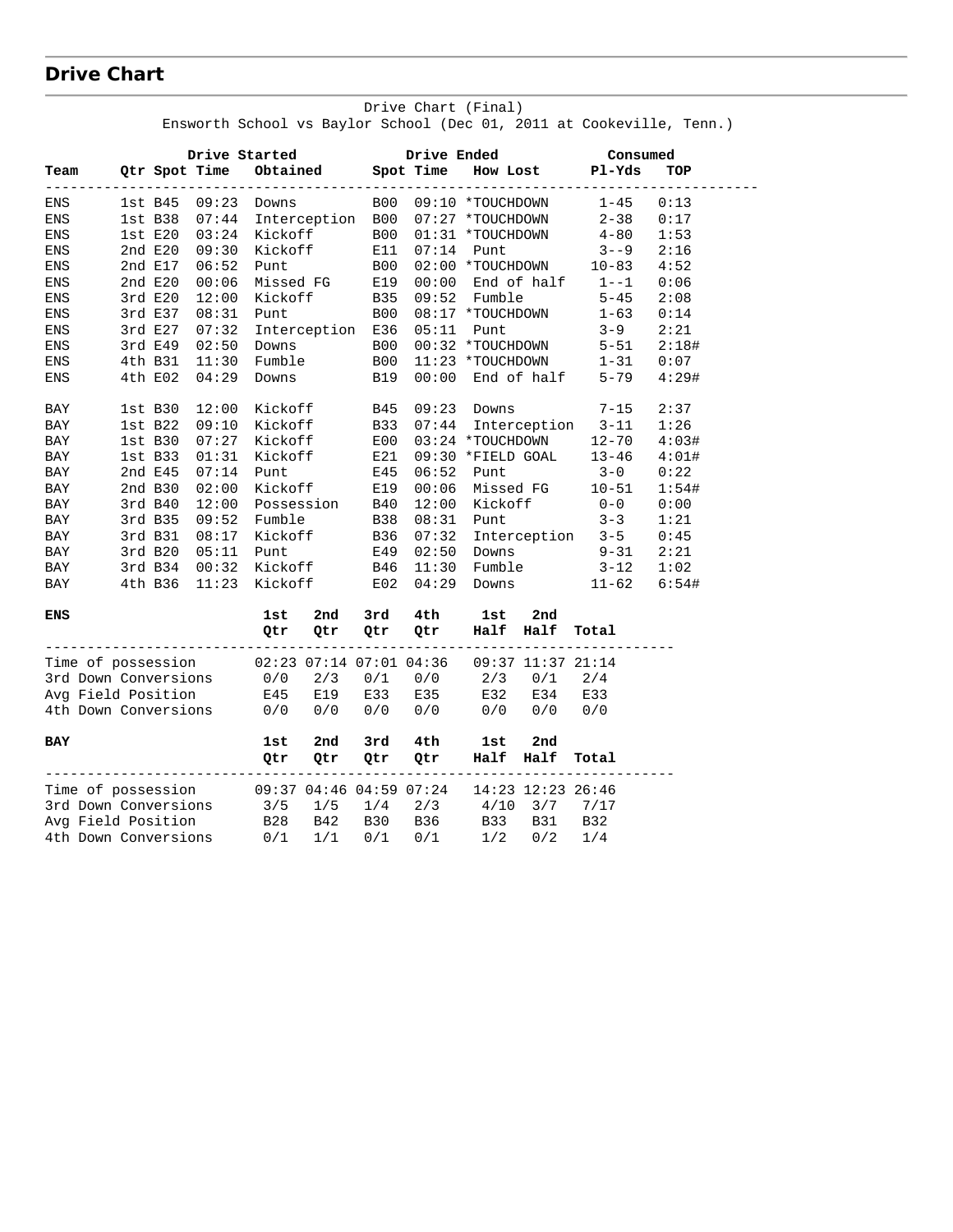# **Drive Chart**

| Drive Started<br><b>Drive Ended</b><br>Consumed<br>Obtained Spot Time<br>Qtr Spot Time<br>How Lost Pl-Yds<br>TOP<br>---------------<br>-----------<br><b>B00</b><br>$1 - 45$<br>1st B45 09:23 Downs<br>09:10 *TOUCHDOWN<br>0:13<br>07:44<br>Interception B00<br>07:27 *TOUCHDOWN<br>$2 - 38$<br>0:17<br>1st B38<br>Kickoff<br><b>B00</b><br>$1st$ $E20$<br>03:24<br>01:31 *TOUCHDOWN<br>$4 - 80$<br>1:53<br>Kickoff<br>09:30<br>2nd E20<br>E11<br>07:14<br>Punt<br>$3 - -9$<br>2:16<br>2nd E17<br>06:52<br>Punt<br>B00<br>02:00 *TOUCHDOWN 10-83<br>4:52<br>2nd E20<br>00:06<br>Missed FG<br>E19<br>$00:00$ End of $half$<br>$1 - -1$<br>0:06<br>Kickoff<br>3rdE20<br>12:00<br>B35<br>09:52 Fumble<br>$5 - 45$<br>2:08<br>3rd E37<br>08:31<br><b>B00</b><br>08:17 *TOUCHDOWN<br>Punt<br>$1 - 63$<br>0:14<br>07:32<br>Interception E36<br>$3 - 9$<br>2:21<br>3rd E27<br>05:11<br>Punt<br>02:50<br><b>B00</b><br>00:32 *TOUCHDOWN<br>3rd E49<br>Downs<br>$5 - 51$<br>2:18#<br>Fumble<br><b>B00</b><br>4th B31<br>11:30<br>11:23 *TOUCHDOWN<br>$1 - 31$<br>0:07<br>$00:00$ End of half<br>04:29<br>B19<br>4th E02<br>5-79<br>4:29#<br>Downs<br>12:00<br>Kickoff<br>B45<br>$7 - 15$<br>$1st$ B $30$<br>$09:23$ Downs<br>2:37<br>Interception 3-11<br>09:10<br>Kickoff<br>1:26<br>$1st$ B $22$<br>B33<br>07:44<br>07:27<br>Kickoff<br>E00<br>03:24 *TOUCHDOWN 12-70<br>4:03#<br>$1st$ B $30$<br>$1st$ B $33$<br>01:31<br>Kickoff<br>E21<br>09:30 *FIELD GOAL<br>$13 - 46$<br>4:01#<br>07:14<br>2nd E45<br>Punt<br>E45<br>06:52<br>Punt<br>$3 - 0$<br>0:22<br>2nd B30<br>02:00<br>Kickoff<br>E19<br>00:06<br>Missed FG<br>$10 - 51$<br>1:54#<br>Possession<br>12:00<br>12:00<br>3rd B40<br>B40<br>Kickoff<br>$0 - 0$<br>0:00<br>09:52<br><b>B38</b><br>$3 - 3$<br>BAY<br>3rd B35<br>Fumble<br>08:31<br>Punt<br>1:21<br>07:32 Interception 3-5<br>08:17<br>Kickoff<br>B36<br>BAY<br>3rd B31<br>0:45<br>$02:50$ Downs $9-31$<br>3rd B20<br>05:11<br>Punt<br>E49<br>2:21<br>BAY<br>00:32<br>Kickoff<br>B46<br>11:30<br>Fumble<br>$3 - 12$<br>3rd B34<br>1:02<br>BAY<br>11:23 Kickoff<br>E02<br>$04:29$ Downs<br>11-62<br>6:54#<br>4th B36<br>3rd<br>4th<br>2nd<br>1st<br>2nd<br>lst<br>Half Half<br>Qtr<br>Qtr<br>Qtr<br>Qtr<br>Total<br>Time of possession 02:23 07:14 07:01 04:36<br>09:37 11:37 21:14<br>3rd Down Conversions 0/0<br>$0/0$ $2/3$ $0/1$<br>2/3<br>0/1<br>2/4<br>E19<br>E33<br>E32 E34<br>Avg Field Position<br>E45<br>E35<br>E33<br>4th Down Conversions<br>0/0<br>0/0<br>0/0<br>0/0<br>$0/0$ $0/0$<br>0/0<br>2nd<br>3rd<br>4th<br>2nd<br>1st<br>1st<br>Half Half<br>Qtr<br>Qtr<br>Qtr<br>0tr i<br>Total<br>Time of possession<br>09:37 04:46 04:59 07:24<br>14:23 12:23 26:46<br>3rd Down Conversions<br>$3/5$ $1/5$ $1/4$ $2/3$ $4/10$ $3/7$<br>7/17<br>B28 B42<br>Avg Field Position<br>B30 B36<br>B33<br>B31<br>B32<br>$0/1$ $1/1$<br>4th Down Conversions<br>0/1<br>0/1<br>1/2<br>0/2<br>1/4 |            |  |  |  |  | Ensworth School vs Baylor School (Dec 01, 2011 at Cookeville, Tenn.) |  |
|------------------------------------------------------------------------------------------------------------------------------------------------------------------------------------------------------------------------------------------------------------------------------------------------------------------------------------------------------------------------------------------------------------------------------------------------------------------------------------------------------------------------------------------------------------------------------------------------------------------------------------------------------------------------------------------------------------------------------------------------------------------------------------------------------------------------------------------------------------------------------------------------------------------------------------------------------------------------------------------------------------------------------------------------------------------------------------------------------------------------------------------------------------------------------------------------------------------------------------------------------------------------------------------------------------------------------------------------------------------------------------------------------------------------------------------------------------------------------------------------------------------------------------------------------------------------------------------------------------------------------------------------------------------------------------------------------------------------------------------------------------------------------------------------------------------------------------------------------------------------------------------------------------------------------------------------------------------------------------------------------------------------------------------------------------------------------------------------------------------------------------------------------------------------------------------------------------------------------------------------------------------------------------------------------------------------------------------------------------------------------------------------------------------------------------------------------------------------------------------------------------------------------------------------------------------------------------------------------------------------------------------------------------------------------------------------------------------------------------------------------------------------------------------------------------------------------------------------------------------------------------------------------------|------------|--|--|--|--|----------------------------------------------------------------------|--|
|                                                                                                                                                                                                                                                                                                                                                                                                                                                                                                                                                                                                                                                                                                                                                                                                                                                                                                                                                                                                                                                                                                                                                                                                                                                                                                                                                                                                                                                                                                                                                                                                                                                                                                                                                                                                                                                                                                                                                                                                                                                                                                                                                                                                                                                                                                                                                                                                                                                                                                                                                                                                                                                                                                                                                                                                                                                                                                            |            |  |  |  |  |                                                                      |  |
|                                                                                                                                                                                                                                                                                                                                                                                                                                                                                                                                                                                                                                                                                                                                                                                                                                                                                                                                                                                                                                                                                                                                                                                                                                                                                                                                                                                                                                                                                                                                                                                                                                                                                                                                                                                                                                                                                                                                                                                                                                                                                                                                                                                                                                                                                                                                                                                                                                                                                                                                                                                                                                                                                                                                                                                                                                                                                                            | Team       |  |  |  |  |                                                                      |  |
|                                                                                                                                                                                                                                                                                                                                                                                                                                                                                                                                                                                                                                                                                                                                                                                                                                                                                                                                                                                                                                                                                                                                                                                                                                                                                                                                                                                                                                                                                                                                                                                                                                                                                                                                                                                                                                                                                                                                                                                                                                                                                                                                                                                                                                                                                                                                                                                                                                                                                                                                                                                                                                                                                                                                                                                                                                                                                                            | ENS        |  |  |  |  |                                                                      |  |
|                                                                                                                                                                                                                                                                                                                                                                                                                                                                                                                                                                                                                                                                                                                                                                                                                                                                                                                                                                                                                                                                                                                                                                                                                                                                                                                                                                                                                                                                                                                                                                                                                                                                                                                                                                                                                                                                                                                                                                                                                                                                                                                                                                                                                                                                                                                                                                                                                                                                                                                                                                                                                                                                                                                                                                                                                                                                                                            | ENS        |  |  |  |  |                                                                      |  |
|                                                                                                                                                                                                                                                                                                                                                                                                                                                                                                                                                                                                                                                                                                                                                                                                                                                                                                                                                                                                                                                                                                                                                                                                                                                                                                                                                                                                                                                                                                                                                                                                                                                                                                                                                                                                                                                                                                                                                                                                                                                                                                                                                                                                                                                                                                                                                                                                                                                                                                                                                                                                                                                                                                                                                                                                                                                                                                            | ENS        |  |  |  |  |                                                                      |  |
|                                                                                                                                                                                                                                                                                                                                                                                                                                                                                                                                                                                                                                                                                                                                                                                                                                                                                                                                                                                                                                                                                                                                                                                                                                                                                                                                                                                                                                                                                                                                                                                                                                                                                                                                                                                                                                                                                                                                                                                                                                                                                                                                                                                                                                                                                                                                                                                                                                                                                                                                                                                                                                                                                                                                                                                                                                                                                                            | ENS        |  |  |  |  |                                                                      |  |
|                                                                                                                                                                                                                                                                                                                                                                                                                                                                                                                                                                                                                                                                                                                                                                                                                                                                                                                                                                                                                                                                                                                                                                                                                                                                                                                                                                                                                                                                                                                                                                                                                                                                                                                                                                                                                                                                                                                                                                                                                                                                                                                                                                                                                                                                                                                                                                                                                                                                                                                                                                                                                                                                                                                                                                                                                                                                                                            | ENS        |  |  |  |  |                                                                      |  |
|                                                                                                                                                                                                                                                                                                                                                                                                                                                                                                                                                                                                                                                                                                                                                                                                                                                                                                                                                                                                                                                                                                                                                                                                                                                                                                                                                                                                                                                                                                                                                                                                                                                                                                                                                                                                                                                                                                                                                                                                                                                                                                                                                                                                                                                                                                                                                                                                                                                                                                                                                                                                                                                                                                                                                                                                                                                                                                            | ENS        |  |  |  |  |                                                                      |  |
|                                                                                                                                                                                                                                                                                                                                                                                                                                                                                                                                                                                                                                                                                                                                                                                                                                                                                                                                                                                                                                                                                                                                                                                                                                                                                                                                                                                                                                                                                                                                                                                                                                                                                                                                                                                                                                                                                                                                                                                                                                                                                                                                                                                                                                                                                                                                                                                                                                                                                                                                                                                                                                                                                                                                                                                                                                                                                                            | ENS        |  |  |  |  |                                                                      |  |
|                                                                                                                                                                                                                                                                                                                                                                                                                                                                                                                                                                                                                                                                                                                                                                                                                                                                                                                                                                                                                                                                                                                                                                                                                                                                                                                                                                                                                                                                                                                                                                                                                                                                                                                                                                                                                                                                                                                                                                                                                                                                                                                                                                                                                                                                                                                                                                                                                                                                                                                                                                                                                                                                                                                                                                                                                                                                                                            | ENS        |  |  |  |  |                                                                      |  |
|                                                                                                                                                                                                                                                                                                                                                                                                                                                                                                                                                                                                                                                                                                                                                                                                                                                                                                                                                                                                                                                                                                                                                                                                                                                                                                                                                                                                                                                                                                                                                                                                                                                                                                                                                                                                                                                                                                                                                                                                                                                                                                                                                                                                                                                                                                                                                                                                                                                                                                                                                                                                                                                                                                                                                                                                                                                                                                            | ENS        |  |  |  |  |                                                                      |  |
|                                                                                                                                                                                                                                                                                                                                                                                                                                                                                                                                                                                                                                                                                                                                                                                                                                                                                                                                                                                                                                                                                                                                                                                                                                                                                                                                                                                                                                                                                                                                                                                                                                                                                                                                                                                                                                                                                                                                                                                                                                                                                                                                                                                                                                                                                                                                                                                                                                                                                                                                                                                                                                                                                                                                                                                                                                                                                                            | ENS        |  |  |  |  |                                                                      |  |
|                                                                                                                                                                                                                                                                                                                                                                                                                                                                                                                                                                                                                                                                                                                                                                                                                                                                                                                                                                                                                                                                                                                                                                                                                                                                                                                                                                                                                                                                                                                                                                                                                                                                                                                                                                                                                                                                                                                                                                                                                                                                                                                                                                                                                                                                                                                                                                                                                                                                                                                                                                                                                                                                                                                                                                                                                                                                                                            | ENS        |  |  |  |  |                                                                      |  |
|                                                                                                                                                                                                                                                                                                                                                                                                                                                                                                                                                                                                                                                                                                                                                                                                                                                                                                                                                                                                                                                                                                                                                                                                                                                                                                                                                                                                                                                                                                                                                                                                                                                                                                                                                                                                                                                                                                                                                                                                                                                                                                                                                                                                                                                                                                                                                                                                                                                                                                                                                                                                                                                                                                                                                                                                                                                                                                            | ENS        |  |  |  |  |                                                                      |  |
|                                                                                                                                                                                                                                                                                                                                                                                                                                                                                                                                                                                                                                                                                                                                                                                                                                                                                                                                                                                                                                                                                                                                                                                                                                                                                                                                                                                                                                                                                                                                                                                                                                                                                                                                                                                                                                                                                                                                                                                                                                                                                                                                                                                                                                                                                                                                                                                                                                                                                                                                                                                                                                                                                                                                                                                                                                                                                                            | BAY        |  |  |  |  |                                                                      |  |
|                                                                                                                                                                                                                                                                                                                                                                                                                                                                                                                                                                                                                                                                                                                                                                                                                                                                                                                                                                                                                                                                                                                                                                                                                                                                                                                                                                                                                                                                                                                                                                                                                                                                                                                                                                                                                                                                                                                                                                                                                                                                                                                                                                                                                                                                                                                                                                                                                                                                                                                                                                                                                                                                                                                                                                                                                                                                                                            | BAY        |  |  |  |  |                                                                      |  |
|                                                                                                                                                                                                                                                                                                                                                                                                                                                                                                                                                                                                                                                                                                                                                                                                                                                                                                                                                                                                                                                                                                                                                                                                                                                                                                                                                                                                                                                                                                                                                                                                                                                                                                                                                                                                                                                                                                                                                                                                                                                                                                                                                                                                                                                                                                                                                                                                                                                                                                                                                                                                                                                                                                                                                                                                                                                                                                            | BAY        |  |  |  |  |                                                                      |  |
|                                                                                                                                                                                                                                                                                                                                                                                                                                                                                                                                                                                                                                                                                                                                                                                                                                                                                                                                                                                                                                                                                                                                                                                                                                                                                                                                                                                                                                                                                                                                                                                                                                                                                                                                                                                                                                                                                                                                                                                                                                                                                                                                                                                                                                                                                                                                                                                                                                                                                                                                                                                                                                                                                                                                                                                                                                                                                                            | BAY        |  |  |  |  |                                                                      |  |
|                                                                                                                                                                                                                                                                                                                                                                                                                                                                                                                                                                                                                                                                                                                                                                                                                                                                                                                                                                                                                                                                                                                                                                                                                                                                                                                                                                                                                                                                                                                                                                                                                                                                                                                                                                                                                                                                                                                                                                                                                                                                                                                                                                                                                                                                                                                                                                                                                                                                                                                                                                                                                                                                                                                                                                                                                                                                                                            | BAY        |  |  |  |  |                                                                      |  |
|                                                                                                                                                                                                                                                                                                                                                                                                                                                                                                                                                                                                                                                                                                                                                                                                                                                                                                                                                                                                                                                                                                                                                                                                                                                                                                                                                                                                                                                                                                                                                                                                                                                                                                                                                                                                                                                                                                                                                                                                                                                                                                                                                                                                                                                                                                                                                                                                                                                                                                                                                                                                                                                                                                                                                                                                                                                                                                            | BAY        |  |  |  |  |                                                                      |  |
|                                                                                                                                                                                                                                                                                                                                                                                                                                                                                                                                                                                                                                                                                                                                                                                                                                                                                                                                                                                                                                                                                                                                                                                                                                                                                                                                                                                                                                                                                                                                                                                                                                                                                                                                                                                                                                                                                                                                                                                                                                                                                                                                                                                                                                                                                                                                                                                                                                                                                                                                                                                                                                                                                                                                                                                                                                                                                                            | BAY        |  |  |  |  |                                                                      |  |
|                                                                                                                                                                                                                                                                                                                                                                                                                                                                                                                                                                                                                                                                                                                                                                                                                                                                                                                                                                                                                                                                                                                                                                                                                                                                                                                                                                                                                                                                                                                                                                                                                                                                                                                                                                                                                                                                                                                                                                                                                                                                                                                                                                                                                                                                                                                                                                                                                                                                                                                                                                                                                                                                                                                                                                                                                                                                                                            |            |  |  |  |  |                                                                      |  |
|                                                                                                                                                                                                                                                                                                                                                                                                                                                                                                                                                                                                                                                                                                                                                                                                                                                                                                                                                                                                                                                                                                                                                                                                                                                                                                                                                                                                                                                                                                                                                                                                                                                                                                                                                                                                                                                                                                                                                                                                                                                                                                                                                                                                                                                                                                                                                                                                                                                                                                                                                                                                                                                                                                                                                                                                                                                                                                            |            |  |  |  |  |                                                                      |  |
|                                                                                                                                                                                                                                                                                                                                                                                                                                                                                                                                                                                                                                                                                                                                                                                                                                                                                                                                                                                                                                                                                                                                                                                                                                                                                                                                                                                                                                                                                                                                                                                                                                                                                                                                                                                                                                                                                                                                                                                                                                                                                                                                                                                                                                                                                                                                                                                                                                                                                                                                                                                                                                                                                                                                                                                                                                                                                                            |            |  |  |  |  |                                                                      |  |
|                                                                                                                                                                                                                                                                                                                                                                                                                                                                                                                                                                                                                                                                                                                                                                                                                                                                                                                                                                                                                                                                                                                                                                                                                                                                                                                                                                                                                                                                                                                                                                                                                                                                                                                                                                                                                                                                                                                                                                                                                                                                                                                                                                                                                                                                                                                                                                                                                                                                                                                                                                                                                                                                                                                                                                                                                                                                                                            |            |  |  |  |  |                                                                      |  |
|                                                                                                                                                                                                                                                                                                                                                                                                                                                                                                                                                                                                                                                                                                                                                                                                                                                                                                                                                                                                                                                                                                                                                                                                                                                                                                                                                                                                                                                                                                                                                                                                                                                                                                                                                                                                                                                                                                                                                                                                                                                                                                                                                                                                                                                                                                                                                                                                                                                                                                                                                                                                                                                                                                                                                                                                                                                                                                            | BAY        |  |  |  |  |                                                                      |  |
|                                                                                                                                                                                                                                                                                                                                                                                                                                                                                                                                                                                                                                                                                                                                                                                                                                                                                                                                                                                                                                                                                                                                                                                                                                                                                                                                                                                                                                                                                                                                                                                                                                                                                                                                                                                                                                                                                                                                                                                                                                                                                                                                                                                                                                                                                                                                                                                                                                                                                                                                                                                                                                                                                                                                                                                                                                                                                                            | <b>ENS</b> |  |  |  |  |                                                                      |  |
|                                                                                                                                                                                                                                                                                                                                                                                                                                                                                                                                                                                                                                                                                                                                                                                                                                                                                                                                                                                                                                                                                                                                                                                                                                                                                                                                                                                                                                                                                                                                                                                                                                                                                                                                                                                                                                                                                                                                                                                                                                                                                                                                                                                                                                                                                                                                                                                                                                                                                                                                                                                                                                                                                                                                                                                                                                                                                                            |            |  |  |  |  |                                                                      |  |
|                                                                                                                                                                                                                                                                                                                                                                                                                                                                                                                                                                                                                                                                                                                                                                                                                                                                                                                                                                                                                                                                                                                                                                                                                                                                                                                                                                                                                                                                                                                                                                                                                                                                                                                                                                                                                                                                                                                                                                                                                                                                                                                                                                                                                                                                                                                                                                                                                                                                                                                                                                                                                                                                                                                                                                                                                                                                                                            |            |  |  |  |  |                                                                      |  |
|                                                                                                                                                                                                                                                                                                                                                                                                                                                                                                                                                                                                                                                                                                                                                                                                                                                                                                                                                                                                                                                                                                                                                                                                                                                                                                                                                                                                                                                                                                                                                                                                                                                                                                                                                                                                                                                                                                                                                                                                                                                                                                                                                                                                                                                                                                                                                                                                                                                                                                                                                                                                                                                                                                                                                                                                                                                                                                            |            |  |  |  |  |                                                                      |  |
|                                                                                                                                                                                                                                                                                                                                                                                                                                                                                                                                                                                                                                                                                                                                                                                                                                                                                                                                                                                                                                                                                                                                                                                                                                                                                                                                                                                                                                                                                                                                                                                                                                                                                                                                                                                                                                                                                                                                                                                                                                                                                                                                                                                                                                                                                                                                                                                                                                                                                                                                                                                                                                                                                                                                                                                                                                                                                                            |            |  |  |  |  |                                                                      |  |
|                                                                                                                                                                                                                                                                                                                                                                                                                                                                                                                                                                                                                                                                                                                                                                                                                                                                                                                                                                                                                                                                                                                                                                                                                                                                                                                                                                                                                                                                                                                                                                                                                                                                                                                                                                                                                                                                                                                                                                                                                                                                                                                                                                                                                                                                                                                                                                                                                                                                                                                                                                                                                                                                                                                                                                                                                                                                                                            | BAY        |  |  |  |  |                                                                      |  |
|                                                                                                                                                                                                                                                                                                                                                                                                                                                                                                                                                                                                                                                                                                                                                                                                                                                                                                                                                                                                                                                                                                                                                                                                                                                                                                                                                                                                                                                                                                                                                                                                                                                                                                                                                                                                                                                                                                                                                                                                                                                                                                                                                                                                                                                                                                                                                                                                                                                                                                                                                                                                                                                                                                                                                                                                                                                                                                            |            |  |  |  |  |                                                                      |  |
|                                                                                                                                                                                                                                                                                                                                                                                                                                                                                                                                                                                                                                                                                                                                                                                                                                                                                                                                                                                                                                                                                                                                                                                                                                                                                                                                                                                                                                                                                                                                                                                                                                                                                                                                                                                                                                                                                                                                                                                                                                                                                                                                                                                                                                                                                                                                                                                                                                                                                                                                                                                                                                                                                                                                                                                                                                                                                                            |            |  |  |  |  |                                                                      |  |
|                                                                                                                                                                                                                                                                                                                                                                                                                                                                                                                                                                                                                                                                                                                                                                                                                                                                                                                                                                                                                                                                                                                                                                                                                                                                                                                                                                                                                                                                                                                                                                                                                                                                                                                                                                                                                                                                                                                                                                                                                                                                                                                                                                                                                                                                                                                                                                                                                                                                                                                                                                                                                                                                                                                                                                                                                                                                                                            |            |  |  |  |  |                                                                      |  |
|                                                                                                                                                                                                                                                                                                                                                                                                                                                                                                                                                                                                                                                                                                                                                                                                                                                                                                                                                                                                                                                                                                                                                                                                                                                                                                                                                                                                                                                                                                                                                                                                                                                                                                                                                                                                                                                                                                                                                                                                                                                                                                                                                                                                                                                                                                                                                                                                                                                                                                                                                                                                                                                                                                                                                                                                                                                                                                            |            |  |  |  |  |                                                                      |  |

Drive Chart (Final)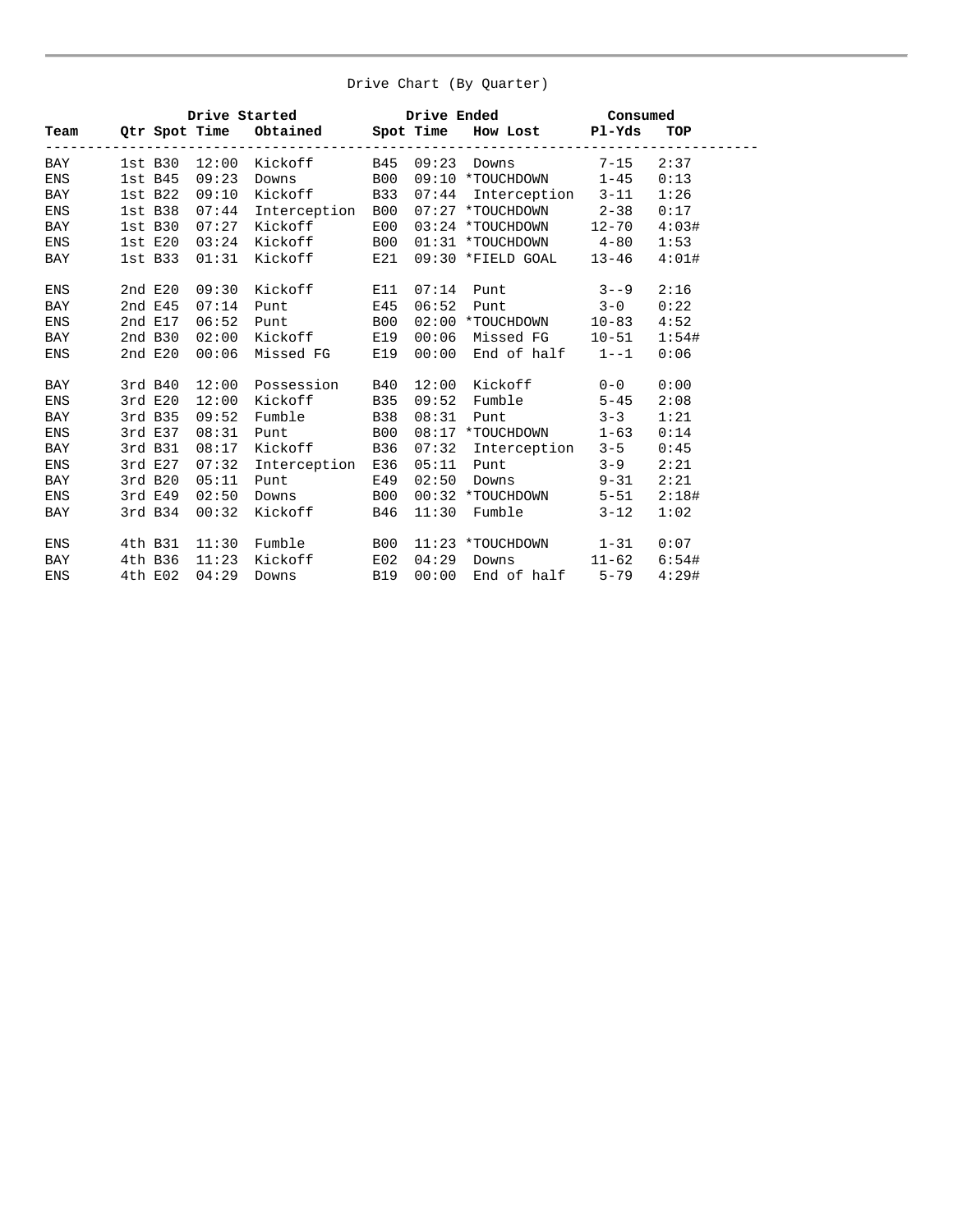#### Drive Chart (By Quarter)

|            |              |       |                         |            |       | Drive Started Drive Ended Consumed<br>Team Qtr Spot Time Obtained Spot Time How Lost Pl-Yds TO |          |       |
|------------|--------------|-------|-------------------------|------------|-------|------------------------------------------------------------------------------------------------|----------|-------|
|            |              |       |                         |            |       |                                                                                                |          | TOP   |
| BAY        |              |       |                         |            |       | 1st B30 12:00 Kickoff B45 09:23 Downs 7-15                                                     |          | 2:37  |
| ENS        |              |       | 1st B45 09:23 Downs B00 |            |       | 09:10 *TOUCHDOWN 1-45                                                                          |          | 0:13  |
| BAY        | $1st$ B $22$ | 09:10 |                         |            |       | Kickoff B33 07:44 Interception 3-11                                                            |          | 1:26  |
| <b>ENS</b> | $1st$ $B38$  | 07:44 | Interception B00        |            |       | 07:27 *TOUCHDOWN 2-38                                                                          |          | 0:17  |
| BAY        | $1st$ $B30$  | 07:27 | Kickoff                 | E00        |       | 03:24 *TOUCHDOWN 12-70                                                                         |          | 4:03# |
| ENS        | 1stE20       |       | 03:24 Kickoff           | <b>B00</b> |       | $01:31$ *TOUCHDOWN $4-80$                                                                      |          | 1:53  |
| BAY        | 1st B33      | 01:31 | Kickoff                 | E21        |       | 09:30 *FIELD GOAL 13-46                                                                        |          | 4:01# |
| <b>ENS</b> | 2ndE20       | 09:30 | Kickoff                 | E11        |       | $07:14$ Punt $3--9$                                                                            |          | 2:16  |
| BAY        | 2ndE45       | 07:14 | Punt                    | E45        | 06:52 | Punt $3-0$                                                                                     |          | 0:22  |
| <b>ENS</b> | 2nd E17      | 06:52 | Punt B00                |            |       | $02:00$ *TOUCHDOWN $10-83$                                                                     |          | 4:52  |
| <b>BAY</b> | $2nd$ B $30$ | 02:00 | Kickoff E19             |            |       | $00:06$ Missed FG $10-51$                                                                      |          | 1:54# |
| <b>ENS</b> | 2ndE20       |       |                         |            |       | 00:06 Missed FG E19 00:00 End of half 1--1                                                     |          | 0:06  |
| BAY        | 3rd B40      |       | 12:00 Possession B40    |            |       | 12:00 Kickoff 0-0                                                                              |          | 0:00  |
| <b>ENS</b> | 3rdE20       | 12:00 | Kickoff                 | <b>B35</b> | 09:52 | Fumble 5-45                                                                                    |          | 2:08  |
| BAY        | 3rd B35      | 09:52 | Fumble B38              |            | 08:31 | Punt $3-3$                                                                                     |          | 1:21  |
| ENS        | 3rd E37      | 08:31 | Punt B00                |            |       | 08:17 *TOUCHDOWN 1-63                                                                          |          | 0:14  |
| BAY        | 3rd B31      | 08:17 | Kickoff B36             |            |       | 07:32 Interception 3-5                                                                         |          | 0:45  |
| <b>ENS</b> | 3rd E27      | 07:32 | Interception E36        |            |       | 05:11 Punt 3-9                                                                                 |          | 2:21  |
| BAY        | $3rd$ B $20$ | 05:11 | Punt                    | E49        | 02:50 | $Downs$ $9-31$                                                                                 |          | 2:21  |
| ENS        | 3rd E49      | 02:50 | Downs B00               |            |       | 00:32 *TOUCHDOWN 5-51                                                                          |          | 2:18# |
| BAY        | 3rd B34      | 00:32 | Kickoff B46             |            |       | 11:30 Fumble                                                                                   | $3 - 12$ | 1:02  |
| <b>ENS</b> | 4th B31      |       | $11:30$ Fumble $B00$    |            |       | $11:23$ *TOUCHDOWN $1-31$                                                                      |          | 0:07  |
| BAY        | 4th B36      | 11:23 | Kickoff                 | E02        |       | 04:29 Downs 11-62 6:54#                                                                        |          |       |
| <b>ENS</b> | 4th E02      | 04:29 | Downs B19               |            |       | $00:00$ End of half $5-79$                                                                     |          | 4:29# |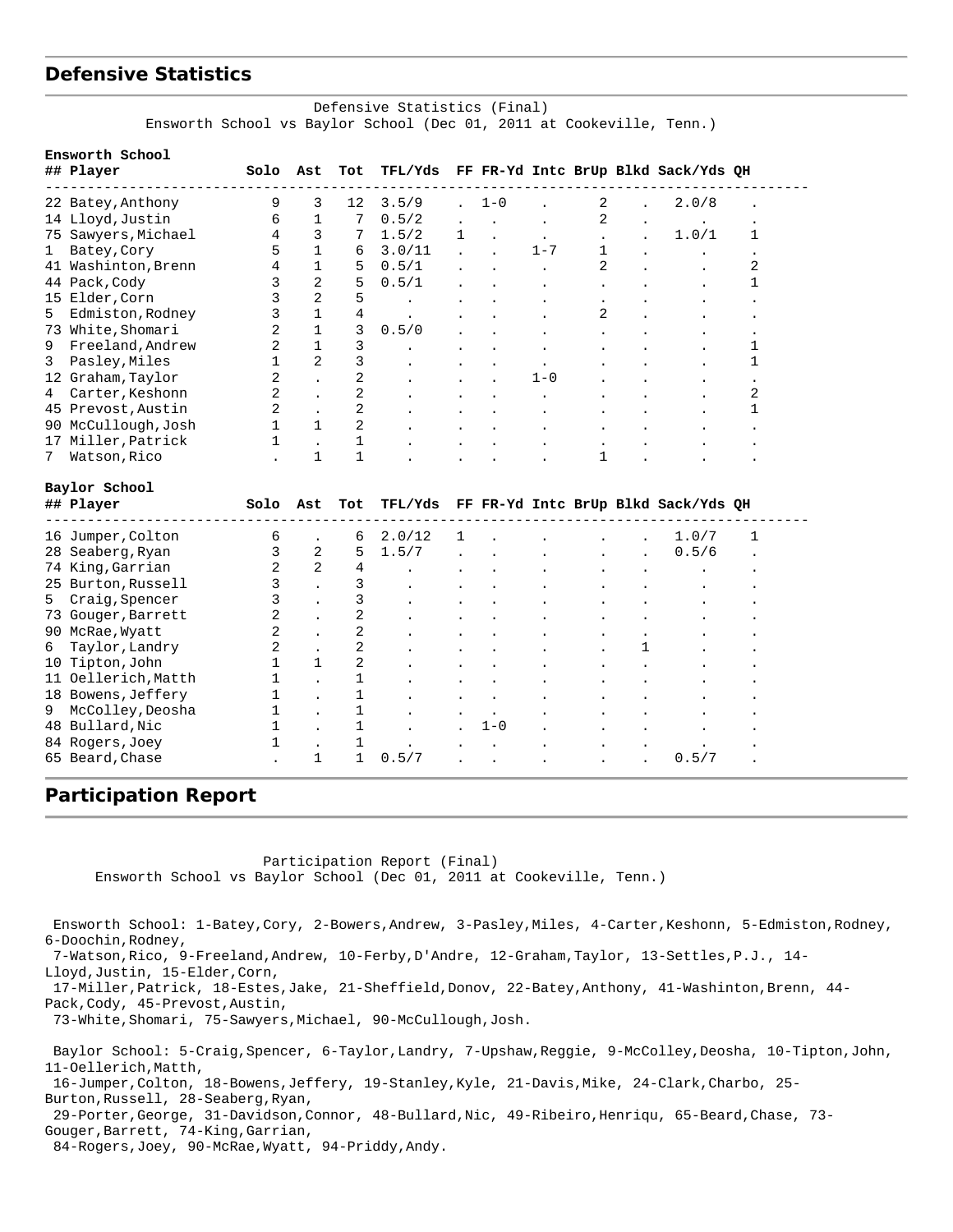## **Defensive Statistics**

#### Defensive Statistics (Final) Ensworth School vs Baylor School (Dec 01, 2011 at Cookeville, Tenn.)

|    | Ensworth School<br>## Player | Solo           | Ast                  | Tot            | TFL/Yds |                |                      |         |                |              | FF FR-Yd Intc BrUp Blkd Sack/Yds QH |                      |
|----|------------------------------|----------------|----------------------|----------------|---------|----------------|----------------------|---------|----------------|--------------|-------------------------------------|----------------------|
|    | 22 Batey, Anthony            | 9              | 3                    | 12             | 3.5/9   |                | $1 - 0$              |         | 2              |              | 2.0/8                               |                      |
|    | 14 Lloyd, Justin             | 6              | $\mathbf{1}$         | 7              | 0.5/2   |                |                      |         | 2              |              |                                     |                      |
|    | 75 Sawyers, Michael          | 4              | 3                    | 7              | 1.5/2   | $\mathbf{1}$   |                      |         |                |              | 1.0/1                               | 1                    |
| 1  | Batey, Cory                  | 5              | $\mathbf{1}$         | 6              | 3.0/11  | $\overline{a}$ |                      | $1 - 7$ | $\mathbf{1}$   |              |                                     | $\ddot{\phantom{0}}$ |
|    | 41 Washinton, Brenn          | 4              | 1                    | 5              | 0.5/1   |                |                      |         | $\overline{2}$ |              |                                     | 2                    |
|    | 44 Pack, Cody                | 3              | $\overline{2}$       | 5              | 0.5/1   |                |                      |         |                |              |                                     | 1                    |
|    | 15 Elder, Corn               | 3              | $\overline{2}$       | 5              |         |                |                      |         |                |              |                                     |                      |
| 5  | Edmiston, Rodney             | 3              | $\mathbf{1}$         | $\overline{4}$ |         |                |                      |         | 2              |              |                                     |                      |
| 73 | White, Shomari               | $\overline{2}$ | $\mathbf{1}$         | 3              | 0.5/0   |                |                      |         |                |              |                                     | $\ddot{\phantom{0}}$ |
| 9  | Freeland, Andrew             | $\overline{2}$ | $\mathbf{1}$         | 3              |         |                |                      |         |                |              |                                     | 1                    |
| 3  | Pasley, Miles                | $\mathbf 1$    | $\overline{2}$       | 3              |         |                |                      |         |                |              |                                     | 1                    |
|    | 12 Graham, Taylor            | 2              |                      | 2              |         |                |                      | $1 - 0$ |                |              |                                     | $\ddot{\phantom{0}}$ |
| 4  | Carter, Keshonn              | 2              |                      | 2              |         |                |                      |         |                |              |                                     | 2                    |
|    | 45 Prevost, Austin           | $\overline{2}$ | $\ddot{\phantom{a}}$ | 2              |         |                |                      |         |                |              |                                     | 1                    |
|    | 90 McCullough, Josh          | $\mathbf{1}$   | 1                    | 2              |         |                |                      |         |                |              |                                     |                      |
| 17 | Miller, Patrick              | 1              | $\ddot{\phantom{0}}$ | 1              |         |                |                      |         |                |              |                                     |                      |
| 7  | Watson, Rico                 |                | $\mathbf{1}$         | $\mathbf{1}$   |         |                |                      |         | 1              |              |                                     |                      |
|    | Baylor School                |                |                      |                |         |                |                      |         |                |              |                                     |                      |
|    | ## Player                    | Solo           | Ast                  | Tot            | TFL/Yds |                |                      |         |                |              | FF FR-Yd Intc BrUp Blkd Sack/Yds QH |                      |
|    | 16 Jumper, Colton            | б              |                      | 6              | 2.0/12  | 1              |                      |         |                |              | 1.0/7                               | 1                    |
|    | 28 Seaberg, Ryan             | 3              | 2                    | 5              | 1.5/7   |                |                      |         |                |              | 0.5/6                               |                      |
|    | 74 King, Garrian             | $\overline{2}$ | $\overline{a}$       | $\overline{4}$ |         |                |                      |         |                |              |                                     |                      |
|    | 25 Burton, Russell           | 3              |                      | 3              |         |                |                      |         |                |              |                                     |                      |
| 5  | Craig, Spencer               | 3              |                      | 3              |         |                |                      |         |                |              |                                     |                      |
|    | 73 Gouger, Barrett           | 2              |                      | 2              |         |                |                      |         |                |              |                                     |                      |
|    | 90 McRae, Wyatt              | $\overline{2}$ |                      | 2              |         |                |                      |         |                |              |                                     |                      |
| 6  | Taylor, Landry               | $\overline{2}$ |                      | 2              |         |                |                      |         |                | $\mathbf{1}$ |                                     |                      |
| 10 | Tipton, John                 | $\mathbf{1}$   | $\mathbf{1}$         | 2              |         |                |                      |         |                |              |                                     |                      |
|    | 11 Oellerich, Matth          | 1              |                      | $\mathbf 1$    |         |                |                      |         |                |              |                                     |                      |
|    | 18 Bowens, Jeffery           | 1              |                      | 1              |         |                |                      |         |                |              |                                     |                      |
| 9  | McColley, Deosha             | $\mathbf 1$    |                      | $\mathbf{1}$   |         |                |                      |         |                |              |                                     |                      |
|    | 48 Bullard, Nic              | $\mathbf{1}$   | $\overline{a}$       | $\mathbf{1}$   |         |                | $1 - 0$              |         |                |              |                                     |                      |
|    | 84 Rogers, Joey              | $\mathbf{1}$   |                      | $\mathbf{1}$   |         |                |                      |         |                |              |                                     |                      |
|    | 65 Beard, Chase              |                | 1                    | $\mathbf{1}$   | 0.5/7   | $\overline{a}$ | $\ddot{\phantom{0}}$ |         |                |              | 0.5/7                               |                      |

#### **Participation Report**

Participation Report (Final)

Ensworth School vs Baylor School (Dec 01, 2011 at Cookeville, Tenn.)

 Ensworth School: 1-Batey,Cory, 2-Bowers,Andrew, 3-Pasley,Miles, 4-Carter,Keshonn, 5-Edmiston,Rodney, 6-Doochin,Rodney, 7-Watson,Rico, 9-Freeland,Andrew, 10-Ferby,D'Andre, 12-Graham,Taylor, 13-Settles,P.J., 14- Lloyd,Justin, 15-Elder,Corn, 17-Miller,Patrick, 18-Estes,Jake, 21-Sheffield,Donov, 22-Batey,Anthony, 41-Washinton,Brenn, 44- Pack,Cody, 45-Prevost,Austin, 73-White,Shomari, 75-Sawyers,Michael, 90-McCullough,Josh. Baylor School: 5-Craig,Spencer, 6-Taylor,Landry, 7-Upshaw,Reggie, 9-McColley,Deosha, 10-Tipton,John, 11-Oellerich,Matth, 16-Jumper,Colton, 18-Bowens,Jeffery, 19-Stanley,Kyle, 21-Davis,Mike, 24-Clark,Charbo, 25- Burton,Russell, 28-Seaberg,Ryan,

 29-Porter,George, 31-Davidson,Connor, 48-Bullard,Nic, 49-Ribeiro,Henriqu, 65-Beard,Chase, 73- Gouger,Barrett, 74-King,Garrian,

84-Rogers,Joey, 90-McRae,Wyatt, 94-Priddy,Andy.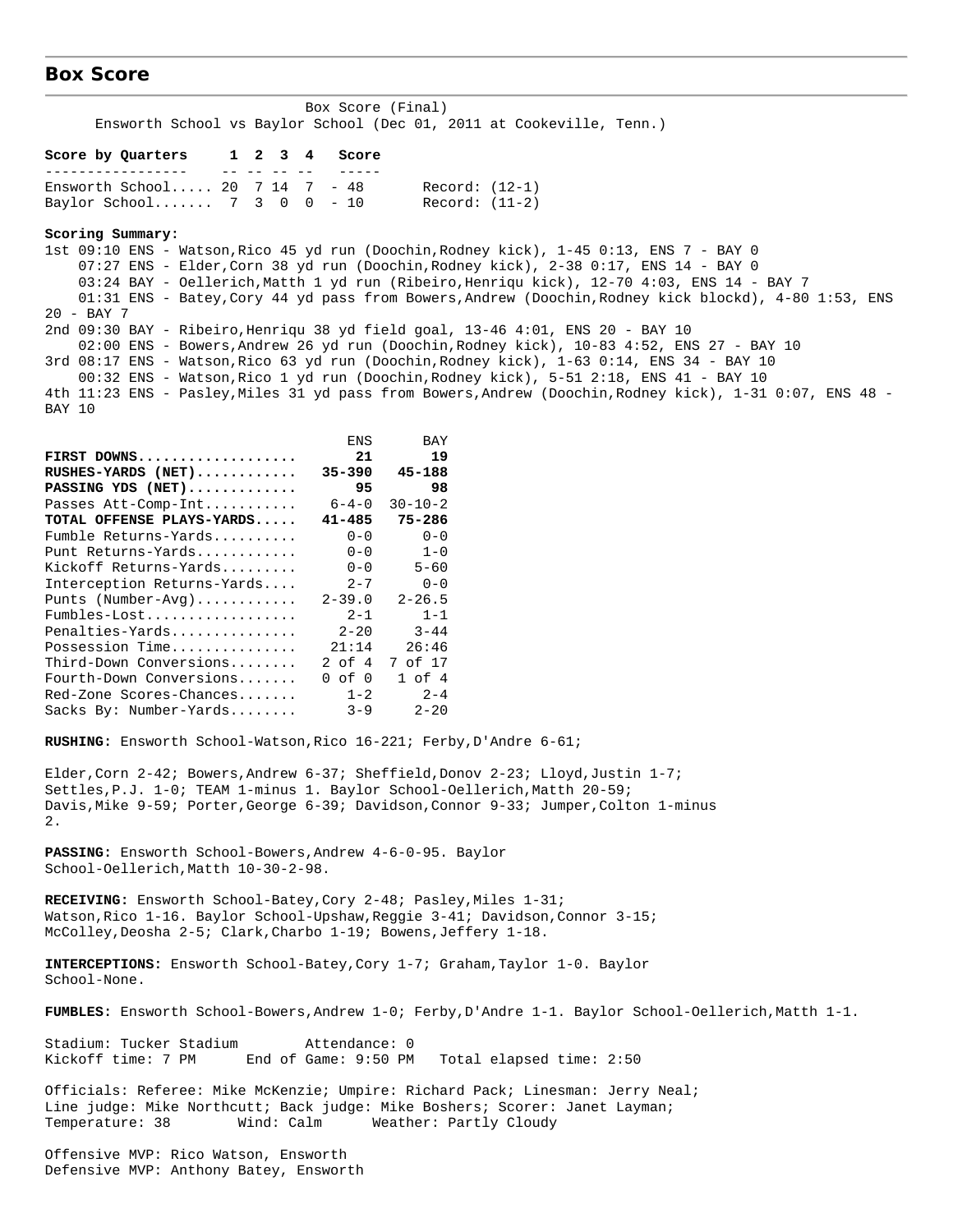#### **Box Score**

| Ensworth School vs Baylor School (Dec 01, 2011 at Cookeville, Tenn.)           |             |               |                                                                                                                                                                                                                                                                                                                                                                                     |
|--------------------------------------------------------------------------------|-------------|---------------|-------------------------------------------------------------------------------------------------------------------------------------------------------------------------------------------------------------------------------------------------------------------------------------------------------------------------------------------------------------------------------------|
| Score by Quarters 1 2 3 4<br>-----------------<br>-- -- -- -- --               | Score       |               |                                                                                                                                                                                                                                                                                                                                                                                     |
| Ensworth School 20 $7$ 14 $7$ - 48                                             |             |               | Record: (12-1)                                                                                                                                                                                                                                                                                                                                                                      |
| Baylor School 7 3 0 0 - 10 Record: $(11-2)$                                    |             |               |                                                                                                                                                                                                                                                                                                                                                                                     |
| Scoring Summary:                                                               |             |               |                                                                                                                                                                                                                                                                                                                                                                                     |
|                                                                                |             |               | 1st 09:10 ENS - Watson, Rico 45 yd run (Doochin, Rodney kick), 1-45 0:13, ENS 7 - BAY 0<br>07:27 ENS - Elder, Corn 38 yd run (Doochin, Rodney kick), 2-38 0:17, ENS 14 - BAY 0<br>03:24 BAY - Oellerich, Matth 1 yd run (Ribeiro, Henriqu kick), 12-70 4:03, ENS 14 - BAY 7<br>01:31 ENS - Batey, Cory 44 yd pass from Bowers, Andrew (Doochin, Rodney kick blockd), 4-80 1:53, ENS |
| $20 - BAY$ 7                                                                   |             |               |                                                                                                                                                                                                                                                                                                                                                                                     |
| 2nd 09:30 BAY - Ribeiro, Henriqu 38 yd field goal, 13-46 4:01, ENS 20 - BAY 10 |             |               | 02:00 ENS - Bowers, Andrew 26 yd run (Doochin, Rodney kick), 10-83 4:52, ENS 27 - BAY 10                                                                                                                                                                                                                                                                                            |
|                                                                                |             |               | 3rd 08:17 ENS - Watson, Rico 63 yd run (Doochin, Rodney kick), 1-63 0:14, ENS 34 - BAY 10                                                                                                                                                                                                                                                                                           |
|                                                                                |             |               | 00:32 ENS - Watson, Rico 1 yd run (Doochin, Rodney kick), 5-51 2:18, ENS 41 - BAY 10                                                                                                                                                                                                                                                                                                |
| BAY 10                                                                         |             |               | 4th 11:23 ENS - Pasley, Miles 31 yd pass from Bowers, Andrew (Doochin, Rodney kick), 1-31 0:07, ENS 48 -                                                                                                                                                                                                                                                                            |
|                                                                                | <b>ENS</b>  | BAY           |                                                                                                                                                                                                                                                                                                                                                                                     |
| FIRST DOWNS                                                                    | 21          | 19            |                                                                                                                                                                                                                                                                                                                                                                                     |
| $RUSHES-YARDS$ (NET)                                                           | $35 - 390$  | 45-188        |                                                                                                                                                                                                                                                                                                                                                                                     |
| PASSING YDS (NET)                                                              | 95          | 98            |                                                                                                                                                                                                                                                                                                                                                                                     |
| Passes Att-Comp-Int                                                            | $6 - 4 - 0$ | $30 - 10 - 2$ |                                                                                                                                                                                                                                                                                                                                                                                     |
| TOTAL OFFENSE PLAYS-YARDS                                                      | $41 - 485$  | 75-286        |                                                                                                                                                                                                                                                                                                                                                                                     |
| Fumble Returns-Yards                                                           | $0 - 0$     | $0 - 0$       |                                                                                                                                                                                                                                                                                                                                                                                     |
| Punt Returns-Yards                                                             | $0 - 0$     | $1-0$         |                                                                                                                                                                                                                                                                                                                                                                                     |
| Kickoff Returns-Yards                                                          | $0 - 0$     | $5 - 60$      |                                                                                                                                                                                                                                                                                                                                                                                     |
| Interception Returns-Yards                                                     |             | $2 - 7$ 0-0   |                                                                                                                                                                                                                                                                                                                                                                                     |
| Punts (Number-Avg)                                                             | 2-39.0      | $2 - 26.5$    |                                                                                                                                                                                                                                                                                                                                                                                     |
|                                                                                |             | $2 - 1$ 1 - 1 |                                                                                                                                                                                                                                                                                                                                                                                     |

Box Score (Final)

Fumbles-Lost.................. 2-1 1-1 Penalties-Yards............... 2-20 3-44 Possession Time............... 21:14 26:46 Third-Down Conversions........ Fourth-Down Conversions....... 0 of 0 1 of 4 Red-Zone Scores-Chances....... 1-2 2-4 Sacks By: Number-Yards........ 3-9 2-20

**RUSHING:** Ensworth School-Watson,Rico 16-221; Ferby,D'Andre 6-61;

Elder,Corn 2-42; Bowers,Andrew 6-37; Sheffield,Donov 2-23; Lloyd,Justin 1-7; Settles,P.J. 1-0; TEAM 1-minus 1. Baylor School-Oellerich,Matth 20-59; Davis,Mike 9-59; Porter,George 6-39; Davidson,Connor 9-33; Jumper,Colton 1-minus 2.

**PASSING:** Ensworth School-Bowers,Andrew 4-6-0-95. Baylor School-Oellerich,Matth 10-30-2-98.

**RECEIVING:** Ensworth School-Batey,Cory 2-48; Pasley,Miles 1-31; Watson, Rico 1-16. Baylor School-Upshaw, Reggie 3-41; Davidson, Connor 3-15; McColley,Deosha 2-5; Clark,Charbo 1-19; Bowens,Jeffery 1-18.

**INTERCEPTIONS:** Ensworth School-Batey,Cory 1-7; Graham,Taylor 1-0. Baylor School-None.

**FUMBLES:** Ensworth School-Bowers,Andrew 1-0; Ferby,D'Andre 1-1. Baylor School-Oellerich,Matth 1-1.

Stadium: Tucker Stadium Attendance: 0<br>Kickoff time: 7 PM End of Game: 9:50 PM End of Game: 9:50 PM Total elapsed time: 2:50

Officials: Referee: Mike McKenzie; Umpire: Richard Pack; Linesman: Jerry Neal; Line judge: Mike Northcutt; Back judge: Mike Boshers; Scorer: Janet Layman; Temperature: 38 Wind: Calm Weather: Partly Cloudy

Offensive MVP: Rico Watson, Ensworth Defensive MVP: Anthony Batey, Ensworth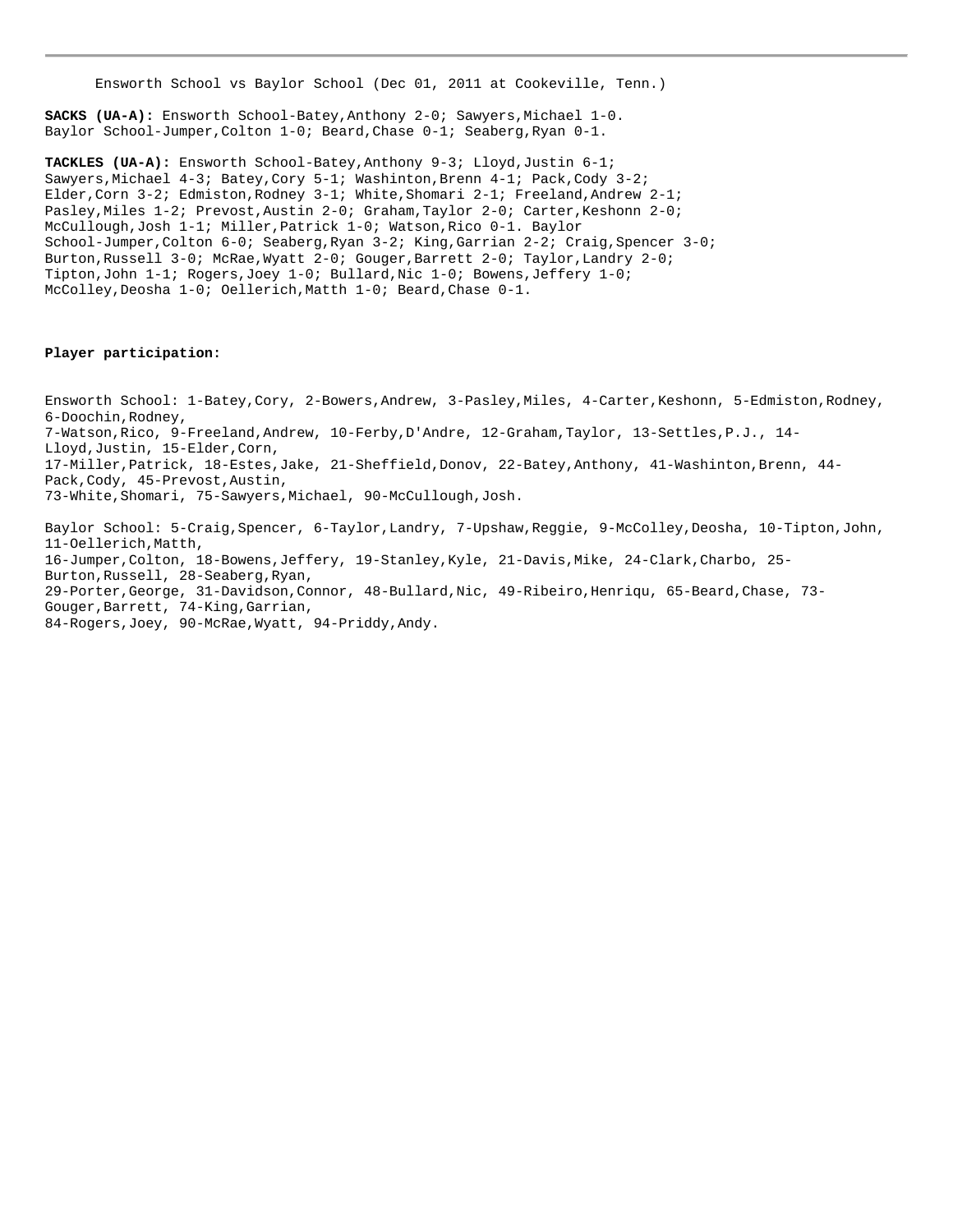Ensworth School vs Baylor School (Dec 01, 2011 at Cookeville, Tenn.)

**SACKS (UA-A):** Ensworth School-Batey,Anthony 2-0; Sawyers,Michael 1-0. Baylor School-Jumper,Colton 1-0; Beard,Chase 0-1; Seaberg,Ryan 0-1.

**TACKLES (UA-A):** Ensworth School-Batey,Anthony 9-3; Lloyd,Justin 6-1; Sawyers,Michael 4-3; Batey,Cory 5-1; Washinton,Brenn 4-1; Pack,Cody 3-2; Elder,Corn 3-2; Edmiston,Rodney 3-1; White,Shomari 2-1; Freeland,Andrew 2-1; Pasley,Miles 1-2; Prevost,Austin 2-0; Graham,Taylor 2-0; Carter,Keshonn 2-0; McCullough,Josh 1-1; Miller,Patrick 1-0; Watson,Rico 0-1. Baylor School-Jumper,Colton 6-0; Seaberg,Ryan 3-2; King,Garrian 2-2; Craig,Spencer 3-0; Burton,Russell 3-0; McRae,Wyatt 2-0; Gouger,Barrett 2-0; Taylor,Landry 2-0; Tipton,John 1-1; Rogers,Joey 1-0; Bullard,Nic 1-0; Bowens,Jeffery 1-0; McColley,Deosha 1-0; Oellerich,Matth 1-0; Beard,Chase 0-1.

#### **Player participation:**

Ensworth School: 1-Batey,Cory, 2-Bowers,Andrew, 3-Pasley,Miles, 4-Carter,Keshonn, 5-Edmiston,Rodney, 6-Doochin,Rodney, 7-Watson,Rico, 9-Freeland,Andrew, 10-Ferby,D'Andre, 12-Graham,Taylor, 13-Settles,P.J., 14- Lloyd,Justin, 15-Elder,Corn, 17-Miller,Patrick, 18-Estes,Jake, 21-Sheffield,Donov, 22-Batey,Anthony, 41-Washinton,Brenn, 44- Pack,Cody, 45-Prevost,Austin, 73-White,Shomari, 75-Sawyers,Michael, 90-McCullough,Josh.

Baylor School: 5-Craig,Spencer, 6-Taylor,Landry, 7-Upshaw,Reggie, 9-McColley,Deosha, 10-Tipton,John, 11-Oellerich,Matth, 16-Jumper,Colton, 18-Bowens,Jeffery, 19-Stanley,Kyle, 21-Davis,Mike, 24-Clark,Charbo, 25- Burton,Russell, 28-Seaberg,Ryan, 29-Porter,George, 31-Davidson,Connor, 48-Bullard,Nic, 49-Ribeiro,Henriqu, 65-Beard,Chase, 73- Gouger,Barrett, 74-King,Garrian, 84-Rogers,Joey, 90-McRae,Wyatt, 94-Priddy,Andy.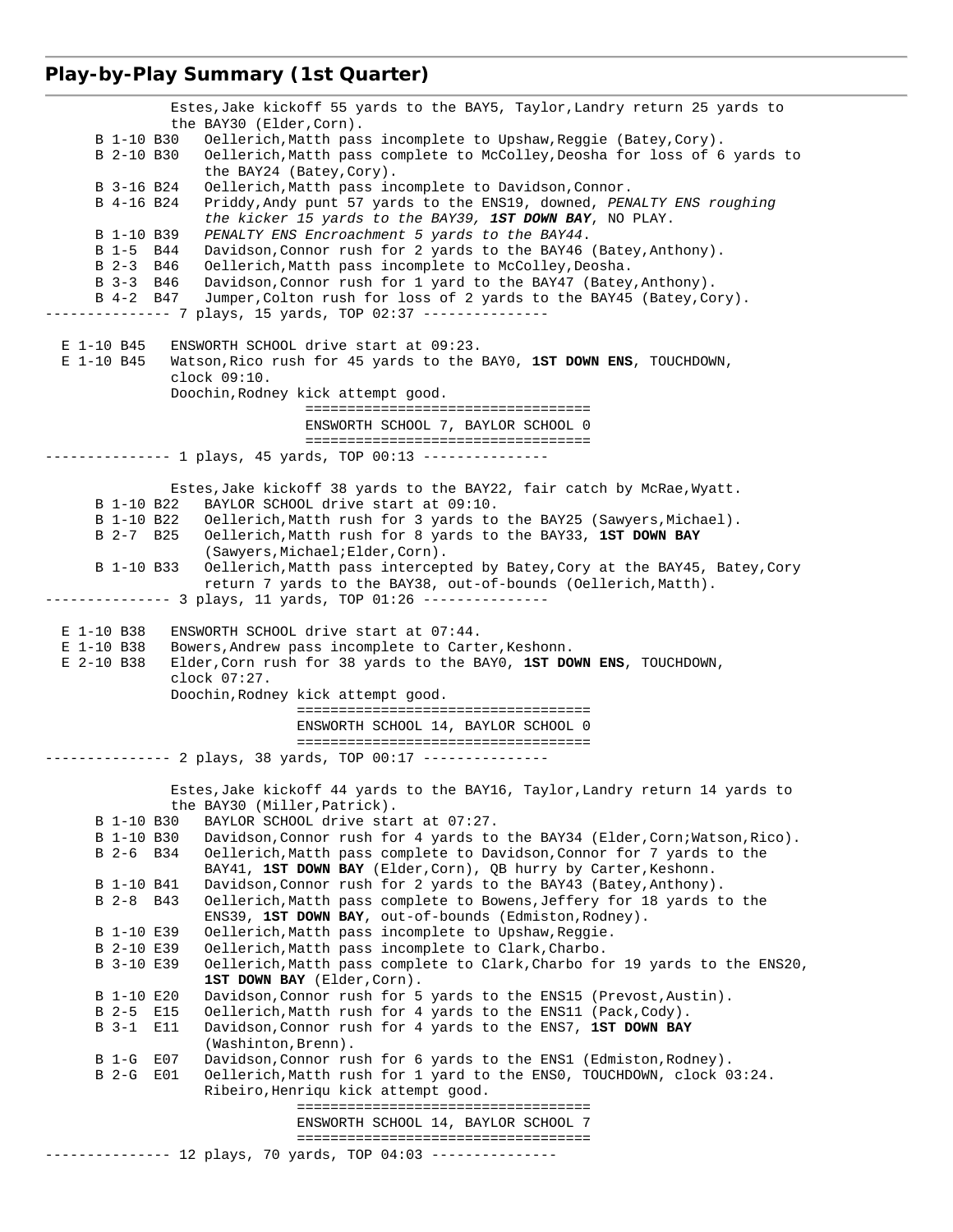### **Play-by-Play Summary (1st Quarter)**

 Estes,Jake kickoff 55 yards to the BAY5, Taylor,Landry return 25 yards to the BAY30 (Elder,Corn). B 1-10 B30 Oellerich,Matth pass incomplete to Upshaw,Reggie (Batey,Cory). B 2-10 B30 Oellerich,Matth pass complete to McColley,Deosha for loss of 6 yards to the BAY24 (Batey, Cory).<br>B 3-16 B24 Oellerich. Matth pass in B 3-16 B24 Oellerich, Matth pass incomplete to Davidson, Connor.<br>B 4-16 B24 Priddy, Andy punt 57 vards to the ENS19, downed, PEN Priddy, Andy punt 57 yards to the ENS19, downed, *PENALTY ENS roughing the kicker 15 yards to the BAY39, 1ST DOWN BAY*, NO PLAY. B 1-10 B39 *PENALTY ENS Encroachment 5 yards to the BAY44*. B 1-5 B44 Davidson,Connor rush for 2 yards to the BAY46 (Batey,Anthony). B 2-3 B46 Oellerich,Matth pass incomplete to McColley,Deosha. B 3-3 B46 Davidson,Connor rush for 1 yard to the BAY47 (Batey,Anthony). B 4-2 B47 Jumper,Colton rush for loss of 2 yards to the BAY45 (Batey,Cory). -------------- 7 plays, 15 yards, TOP 02:37 --------------- E 1-10 B45 ENSWORTH SCHOOL drive start at 09:23. E 1-10 B45 Watson,Rico rush for 45 yards to the BAY0, **1ST DOWN ENS**, TOUCHDOWN, clock 09:10. Doochin,Rodney kick attempt good. ================================== ENSWORTH SCHOOL 7, BAYLOR SCHOOL 0 ================================== --------------- 1 plays, 45 yards, TOP 00:13 --------------- Estes, Jake kickoff 38 yards to the BAY22, fair catch by McRae, Wyatt. B 1-10 B22 BAYLOR SCHOOL drive start at 09:10. B 1-10 B22 Oellerich,Matth rush for 3 yards to the BAY25 (Sawyers,Michael). B 2-7 B25 Oellerich,Matth rush for 8 yards to the BAY33, **1ST DOWN BAY** (Sawyers,Michael;Elder,Corn). B 1-10 B33 Oellerich,Matth pass intercepted by Batey,Cory at the BAY45, Batey,Cory return 7 yards to the BAY38, out-of-bounds (Oellerich,Matth). -------------- 3 plays, 11 yards, TOP 01:26 --------------- E 1-10 B38 ENSWORTH SCHOOL drive start at 07:44. E 1-10 B38 Bowers,Andrew pass incomplete to Carter,Keshonn. E 2-10 B38 Elder,Corn rush for 38 yards to the BAY0, **1ST DOWN ENS**, TOUCHDOWN, clock 07:27. Doochin,Rodney kick attempt good. =================================== ENSWORTH SCHOOL 14, BAYLOR SCHOOL 0 =================================== -------------- 2 plays, 38 yards, TOP 00:17 --------------- Estes,Jake kickoff 44 yards to the BAY16, Taylor,Landry return 14 yards to the BAY30 (Miller,Patrick). B 1-10 B30 BAYLOR SCHOOL drive start at 07:27. B 1-10 B30 Davidson,Connor rush for 4 yards to the BAY34 (Elder,Corn;Watson,Rico). B 2-6 B34 Oellerich,Matth pass complete to Davidson,Connor for 7 yards to the BAY41, **1ST DOWN BAY** (Elder,Corn), QB hurry by Carter,Keshonn. B 1-10 B41 Davidson, Connor rush for 2 yards to the BAY43 (Batey, Anthony).<br>B 2-8 B43 Oellerich, Matth pass complete to Bowens, Jeffery for 18 yards t Oellerich,Matth pass complete to Bowens, Jeffery for 18 yards to the ENS39, **1ST DOWN BAY**, out-of-bounds (Edmiston,Rodney). B 1-10 E39 Oellerich, Matth pass incomplete to Upshaw, Reggie.<br>B 2-10 E39 Oellerich, Matth pass incomplete to Clark, Charbo. Oellerich, Matth pass incomplete to Clark, Charbo. B 3-10 E39 Oellerich,Matth pass complete to Clark,Charbo for 19 yards to the ENS20, **1ST DOWN BAY** (Elder,Corn). B 1-10 E20 Davidson, Connor rush for 5 yards to the ENS15 (Prevost, Austin).<br>B 2-5 E15 Oellerich, Matth rush for 4 yards to the ENS11 (Pack, Cody). B 2-5 E15 Oellerich, Matth rush for 4 yards to the ENS11 (Pack, Cody).<br>B 3-1 E11 Davidson, Connor rush for 4 yards to the ENS7, 1ST DOWN BAY Davidson, Connor rush for 4 yards to the ENS7, 1ST DOWN BAY (Washinton, Brenn).<br>B 1-G E07 Davidson, Connor ru B 1-G E07 Davidson, Connor rush for 6 yards to the ENS1 (Edmiston, Rodney).<br>B 2-G E01 Oellerich, Matth rush for 1 yard to the ENS0, TOUCHDOWN, clock 0 Oellerich,Matth rush for 1 yard to the ENS0, TOUCHDOWN, clock 03:24. Ribeiro,Henriqu kick attempt good. =================================== ENSWORTH SCHOOL 14, BAYLOR SCHOOL 7 =================================== -------------- 12 plays, 70 yards, TOP 04:03 ---------------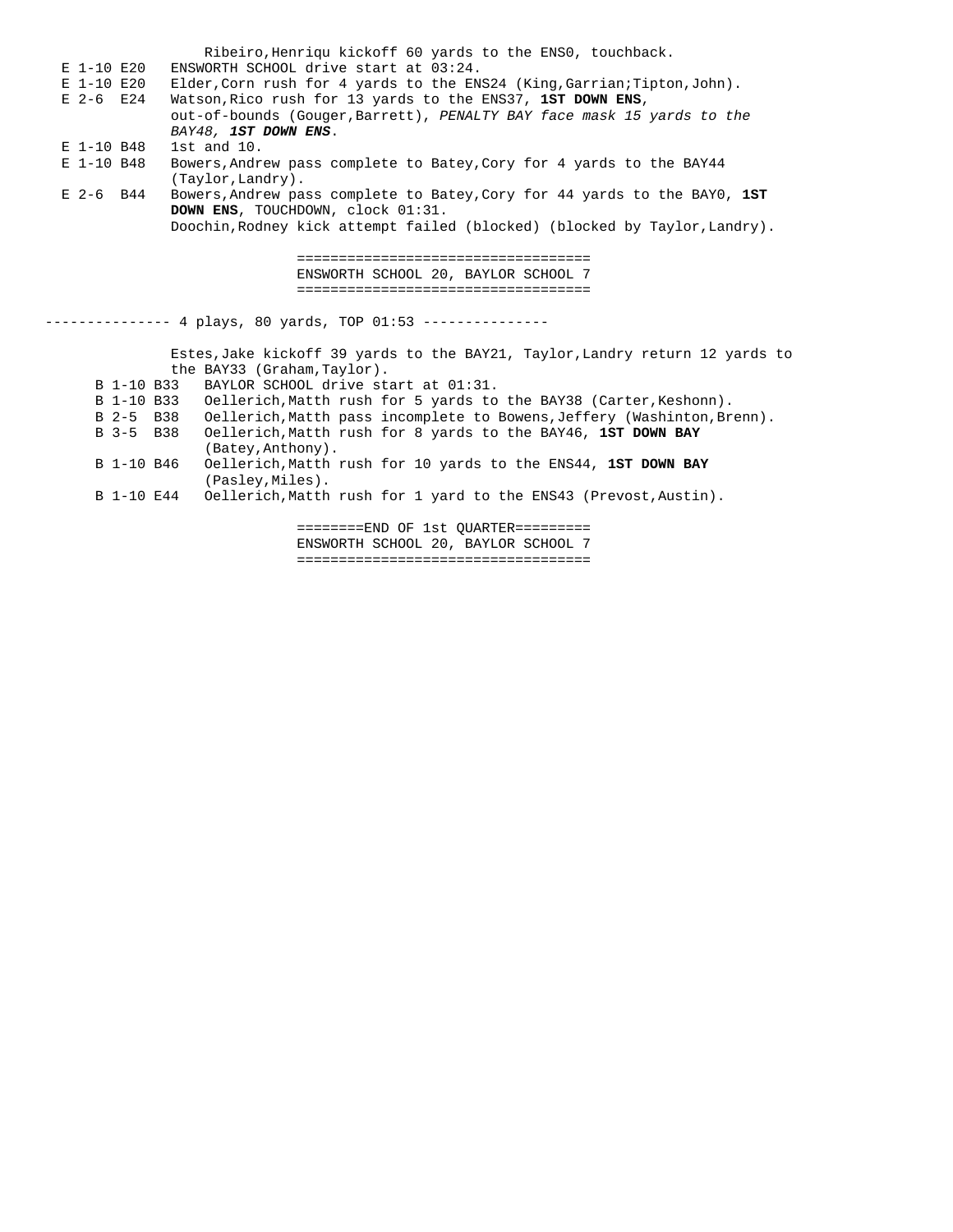Ribeiro,Henriqu kickoff 60 yards to the ENS0, touchback. E 1-10 E20 ENSWORTH SCHOOL drive start at 03:24. E 1-10 E20 Elder,Corn rush for 4 yards to the ENS24 (King,Garrian;Tipton,John). E 2-6 E24 Watson,Rico rush for 13 yards to the ENS37, **1ST DOWN ENS**, out-of-bounds (Gouger,Barrett), *PENALTY BAY face mask 15 yards to the BAY48, 1ST DOWN ENS*. E 1-10 B48 1st and 10. E 1-10 B48 Bowers,Andrew pass complete to Batey,Cory for 4 yards to the BAY44 (Taylor,Landry).<br>E 2-6 B44 Bowers,Andrew pa E 2-6 B44 Bowers,Andrew pass complete to Batey,Cory for 44 yards to the BAY0, **1ST DOWN ENS**, TOUCHDOWN, clock 01:31. Doochin,Rodney kick attempt failed (blocked) (blocked by Taylor,Landry). =================================== ENSWORTH SCHOOL 20, BAYLOR SCHOOL 7 =================================== -------------- 4 plays, 80 yards, TOP 01:53 --------------- Estes,Jake kickoff 39 yards to the BAY21, Taylor,Landry return 12 yards to the BAY33 (Graham,Taylor). B 1-10 B33 BAYLOR SCHOOL drive start at 01:31. B 1-10 B33 Oellerich, Matth rush for 5 yards to the BAY38 (Carter, Keshonn).<br>B 2-5 B38 Oellerich, Matth pass incomplete to Bowens, Jeffery (Washinton, Br B 2-5 B38 Oellerich, Matth pass incomplete to Bowens, Jeffery (Washinton, Brenn).<br>B 3-5 B38 Oellerich, Matth rush for 8 yards to the BAY46, 1ST DOWN BAY B 3-5 B38 Oellerich,Matth rush for 8 yards to the BAY46, **1ST DOWN BAY** (Batey,Anthony). B 1-10 B46 Oellerich,Matth rush for 10 yards to the ENS44, **1ST DOWN BAY** (Pasley,Miles). B 1-10 E44 Oellerich,Matth rush for 1 yard to the ENS43 (Prevost,Austin). ========END OF 1st QUARTER=========

 ENSWORTH SCHOOL 20, BAYLOR SCHOOL 7 ===================================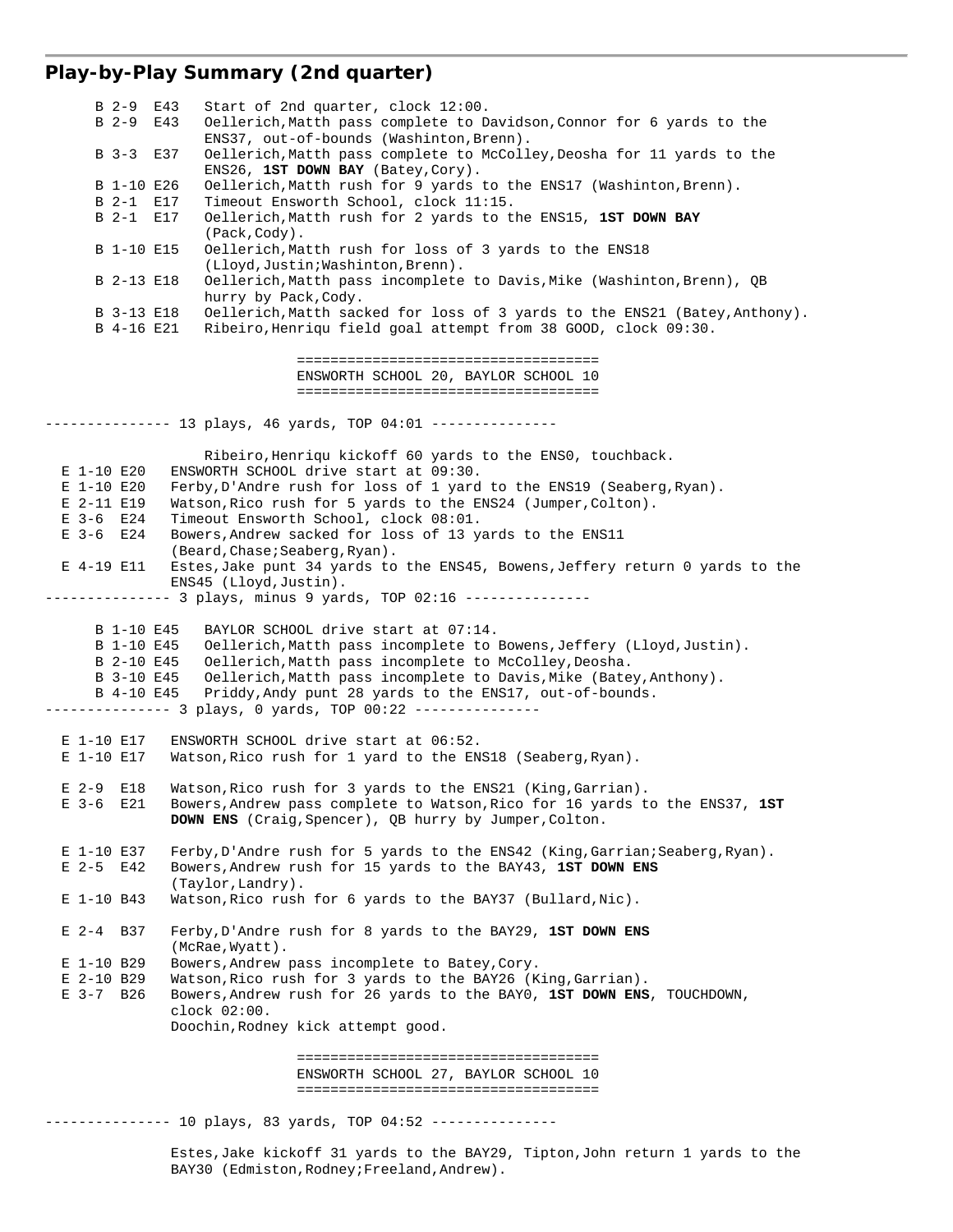## **Play-by-Play Summary (2nd quarter)**

 B 2-9 E43 Start of 2nd quarter, clock 12:00. B 2-9 E43 Oellerich,Matth pass complete to Davidson,Connor for 6 yards to the ENS37, out-of-bounds (Washinton,Brenn).<br>B 3-3 E37 Oellerich,Matth pass complete to McColl Oellerich, Matth pass complete to McColley, Deosha for 11 yards to the ENS26, **1ST DOWN BAY** (Batey, Cory).<br>B 1-10 E26 Oellerich Matth rush for 9 vards Oellerich, Matth rush for 9 yards to the ENS17 (Washinton, Brenn). B 2-1 E17 Timeout Ensworth School, clock 11:15. B 2-1 E17 Oellerich,Matth rush for 2 yards to the ENS15, **1ST DOWN BAY** (Pack,Cody). B 1-10 E15 Oellerich,Matth rush for loss of 3 yards to the ENS18 (Lloyd,Justin;Washinton,Brenn). B 2-13 E18 Oellerich,Matth pass incomplete to Davis,Mike (Washinton,Brenn), QB hurry by Pack,Cody. B 3-13 E18 Oellerich,Matth sacked for loss of 3 yards to the ENS21 (Batey,Anthony). B 4-16 E21 Ribeiro,Henriqu field goal attempt from 38 GOOD, clock 09:30. ==================================== ENSWORTH SCHOOL 20, BAYLOR SCHOOL 10 ==================================== -------------- 13 plays, 46 yards, TOP 04:01 --------------- Ribeiro,Henriqu kickoff 60 yards to the ENS0, touchback. E 1-10 E20 ENSWORTH SCHOOL drive start at 09:30. E 1-10 E20 Ferby,D'Andre rush for loss of 1 yard to the ENS19 (Seaberg,Ryan). E 2-11 E19 Watson,Rico rush for 5 yards to the ENS24 (Jumper,Colton). E 3-6 E24 Timeout Ensworth School, clock 08:01. E 3-6 E24 Bowers,Andrew sacked for loss of 13 yards to the ENS11 (Beard,Chase;Seaberg,Ryan). E 4-19 E11 Estes,Jake punt 34 yards to the ENS45, Bowens,Jeffery return 0 yards to the ENS45 (Lloyd,Justin). --------------- 3 plays, minus 9 yards, TOP 02:16 --------------- B 1-10 E45 BAYLOR SCHOOL drive start at 07:14. B 1-10 E45 Oellerich,Matth pass incomplete to Bowens,Jeffery (Lloyd,Justin). B 2-10 E45 Oellerich,Matth pass incomplete to McColley,Deosha. B 3-10 E45 Oellerich,Matth pass incomplete to Davis,Mike (Batey,Anthony). B 4-10 E45 Priddy,Andy punt 28 yards to the ENS17, out-of-bounds. -------------- 3 plays, 0 yards, TOP 00:22 --------------- E 1-10 E17 ENSWORTH SCHOOL drive start at 06:52. E 1-10 E17 Watson,Rico rush for 1 yard to the ENS18 (Seaberg,Ryan). E 2-9 E18 Watson, Rico rush for 3 yards to the ENS21 (King, Garrian).<br>E 3-6 E21 Bowers, Andrew pass complete to Watson, Rico for 16 yards t E 3-6 E21 Bowers,Andrew pass complete to Watson,Rico for 16 yards to the ENS37, **1ST DOWN ENS** (Craig,Spencer), QB hurry by Jumper,Colton. E 1-10 E37 Ferby,D'Andre rush for 5 yards to the ENS42 (King,Garrian;Seaberg,Ryan). E 2-5 E42 Bowers,Andrew rush for 15 yards to the BAY43, **1ST DOWN ENS** (Taylor,Landry). E 1-10 B43 Watson,Rico rush for 6 yards to the BAY37 (Bullard,Nic). E 2-4 B37 Ferby,D'Andre rush for 8 yards to the BAY29, **1ST DOWN ENS** (McRae,Wyatt). E 1-10 B29 Bowers, Andrew pass incomplete to Batey, Cory.<br>E 2-10 B29 Watson, Rico rush for 3 yards to the BAY26 (K E 2-10 B29 Watson, Rico rush for 3 yards to the BAY26 (King, Garrian).<br>E 3-7 B26 Bowers, Andrew rush for 26 yards to the BAY0, 1ST DOWN ENS E 3-7 B26 Bowers,Andrew rush for 26 yards to the BAY0, **1ST DOWN ENS**, TOUCHDOWN, clock 02:00. Doochin,Rodney kick attempt good. ==================================== ENSWORTH SCHOOL 27, BAYLOR SCHOOL 10 ==================================== --------------- 10 plays, 83 yards, TOP 04:52 --------------- Estes,Jake kickoff 31 yards to the BAY29, Tipton,John return 1 yards to the BAY30 (Edmiston,Rodney;Freeland,Andrew).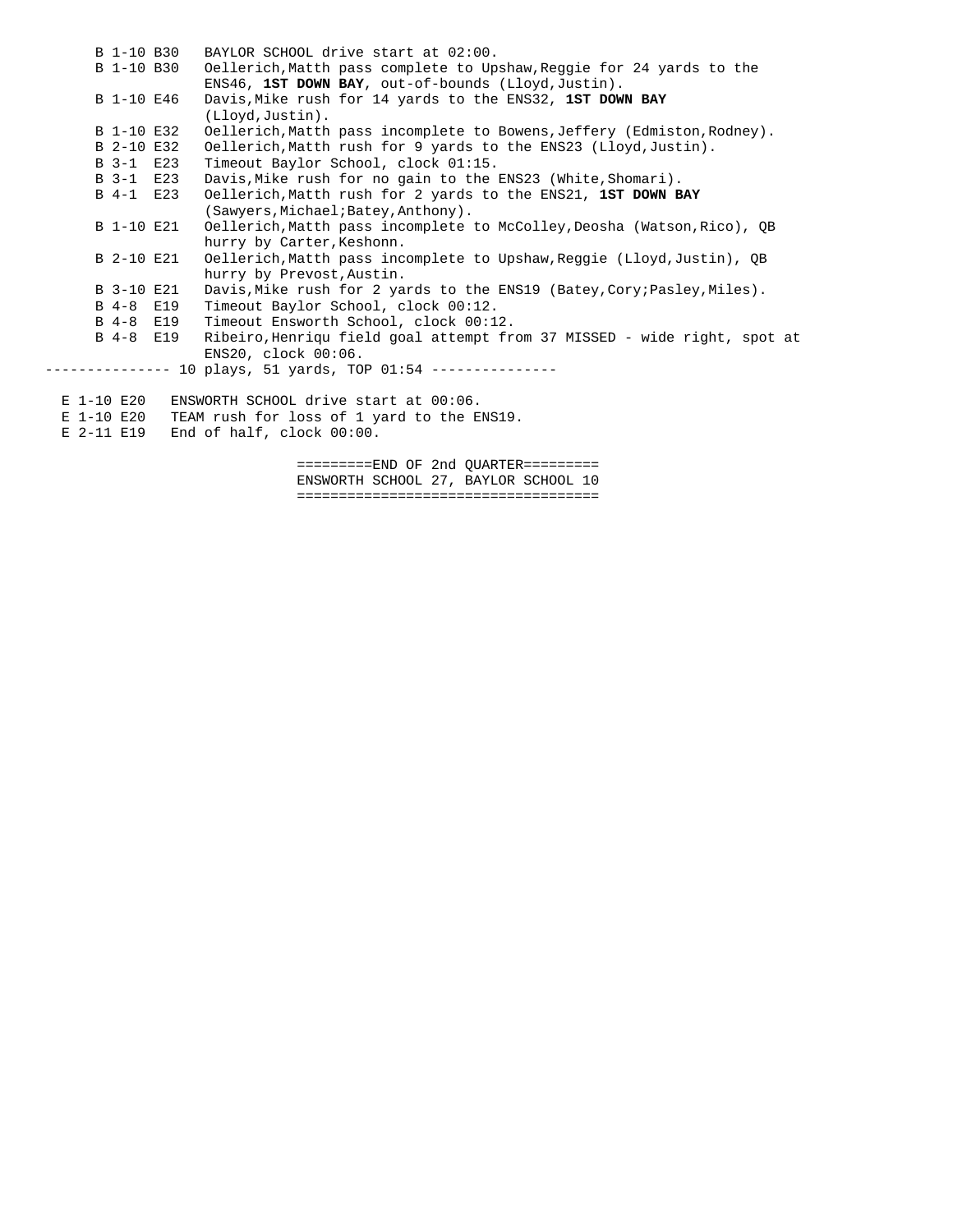|  | B 1-10 B30      | BAYLOR SCHOOL drive start at 02:00.                                      |
|--|-----------------|--------------------------------------------------------------------------|
|  | B 1-10 B30      | Oellerich, Matth pass complete to Upshaw, Reggie for 24 yards to the     |
|  |                 | ENS46, 1ST DOWN BAY, out-of-bounds (Lloyd, Justin).                      |
|  | B 1-10 E46      | Davis, Mike rush for 14 yards to the ENS32, 1ST DOWN BAY                 |
|  |                 | (Lloyd, Justin).                                                         |
|  | B 1-10 E32      | Oellerich, Matth pass incomplete to Bowens, Jeffery (Edmiston, Rodney).  |
|  | B 2-10 E32      | Oellerich, Matth rush for 9 yards to the ENS23 (Lloyd, Justin).          |
|  | B 3-1 E23       | Timeout Baylor School, clock 01:15.                                      |
|  | B 3-1 E23       | Davis, Mike rush for no gain to the ENS23 (White, Shomari).              |
|  | B 4-1 E23       | Oellerich, Matth rush for 2 yards to the ENS21, 1ST DOWN BAY             |
|  |                 | (Sawyers, Michael; Batey, Anthony).                                      |
|  | B 1-10 E21      | Oellerich, Matth pass incomplete to McColley, Deosha (Watson, Rico), QB  |
|  |                 | hurry by Carter, Keshonn.                                                |
|  | B 2-10 E21      | Oellerich, Matth pass incomplete to Upshaw, Reqqie (Lloyd, Justin), QB   |
|  |                 | hurry by Prevost, Austin.                                                |
|  | B 3-10 E21      | Davis, Mike rush for 2 yards to the ENS19 (Batey, Cory; Pasley, Miles).  |
|  | B 4-8 E19       | Timeout Baylor School, clock 00:12.                                      |
|  | B 4-8 E19       | Timeout Ensworth School, clock 00:12.                                    |
|  | B 4-8 E19       | Ribeiro, Henriqu field goal attempt from 37 MISSED - wide right, spot at |
|  |                 | ENS20, clock 00:06.                                                      |
|  |                 | -------- 10 plays, 51 yards, TOP 01:54 ---------------                   |
|  |                 |                                                                          |
|  | $E$ 1-10 $E$ 20 | ENSWORTH SCHOOL drive start at 00:06.                                    |
|  | E 1-10 E20      | TEAM rush for loss of 1 yard to the ENS19.                               |
|  | $E$ 2-11 $E$ 19 | End of half, clock 00:00.                                                |

 =========END OF 2nd QUARTER========= ENSWORTH SCHOOL 27, BAYLOR SCHOOL 10 ====================================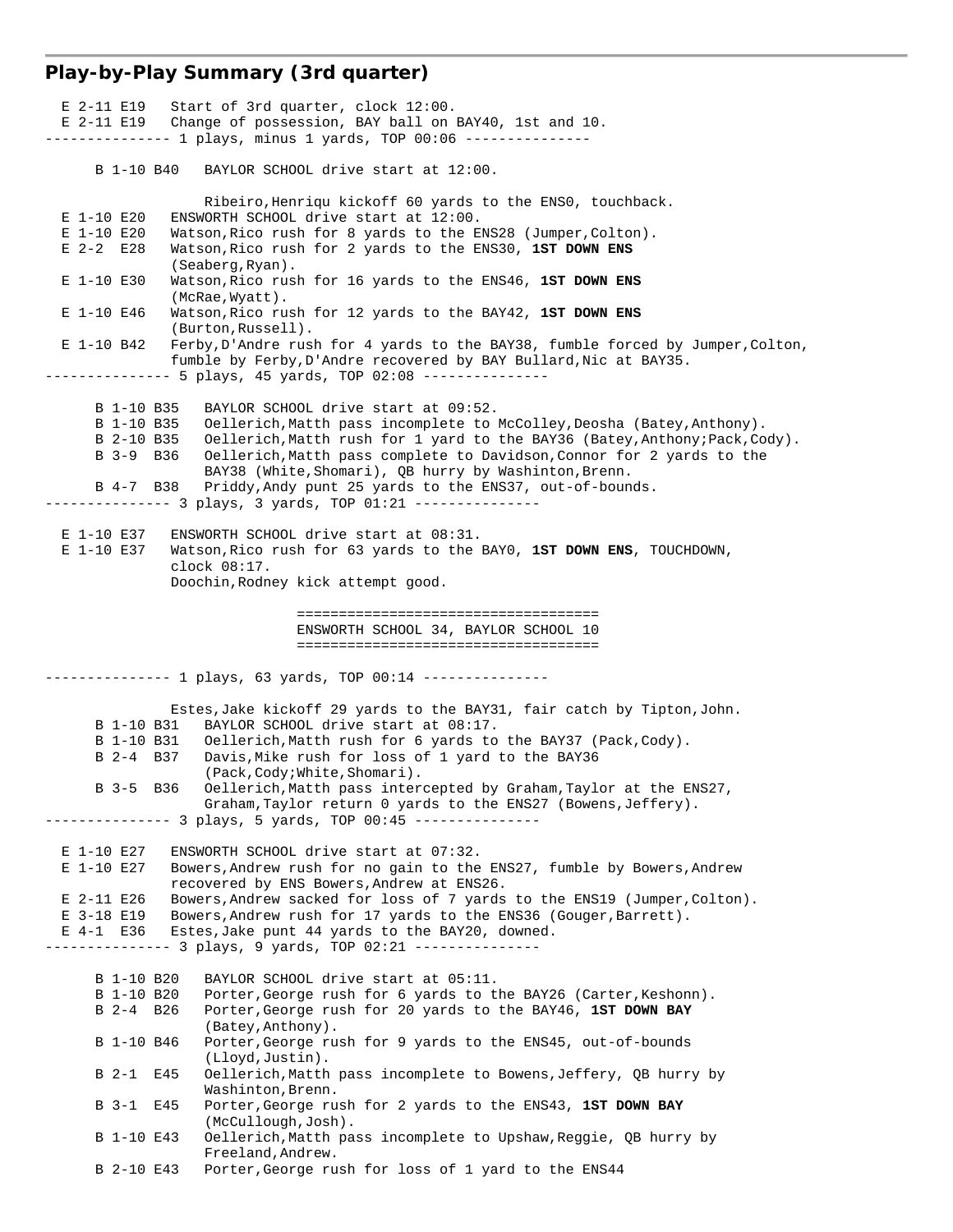# **Play-by-Play Summary (3rd quarter)**

|                         | $E$ 2-11 E19 Start of 3rd quarter, clock 12:00.                                                                                              |
|-------------------------|----------------------------------------------------------------------------------------------------------------------------------------------|
| E 2-11 E19              | Change of possession, BAY ball on BAY40, 1st and 10.<br>-------------- 1 plays, minus 1 yards, TOP 00:06 --------------                      |
|                         |                                                                                                                                              |
| B 1-10 B40              | BAYLOR SCHOOL drive start at 12:00.                                                                                                          |
|                         | Ribeiro, Henriqu kickoff 60 yards to the ENSO, touchback.                                                                                    |
| E 1-10 E20              | ENSWORTH SCHOOL drive start at 12:00.                                                                                                        |
| E 1-10 E20              | Watson, Rico rush for 8 yards to the ENS28 (Jumper, Colton).                                                                                 |
| $E$ 2-2 $E$ 28          | Watson, Rico rush for 2 yards to the ENS30, 1ST DOWN ENS<br>(Seaberg, Ryan).                                                                 |
| E 1-10 E30              | Watson, Rico rush for 16 yards to the ENS46, 1ST DOWN ENS<br>(McRae, Wyatt).                                                                 |
| E 1-10 E46              | Watson, Rico rush for 12 yards to the BAY42, 1ST DOWN ENS<br>(Burton, Russell).                                                              |
| E 1-10 B42              | Ferby, D'Andre rush for 4 yards to the BAY38, fumble forced by Jumper, Colton,                                                               |
|                         | fumble by Ferby, D'Andre recovered by BAY Bullard, Nic at BAY35.                                                                             |
|                         |                                                                                                                                              |
| B 1-10 B35              | BAYLOR SCHOOL drive start at 09:52.                                                                                                          |
| B 1-10 B35              | Oellerich, Matth pass incomplete to McColley, Deosha (Batey, Anthony).                                                                       |
| B 2-10 B35              | Oellerich, Matth rush for 1 yard to the BAY36 (Batey, Anthony; Pack, Cody).                                                                  |
| B 3-9 B 36              | Oellerich, Matth pass complete to Davidson, Connor for 2 yards to the<br>BAY38 (White, Shomari), QB hurry by Washinton, Brenn.               |
| B 4-7 B38               | Priddy, Andy punt 25 yards to the ENS37, out-of-bounds.                                                                                      |
|                         |                                                                                                                                              |
| E 1-10 E37              | ENSWORTH SCHOOL drive start at 08:31.                                                                                                        |
| E 1-10 E37              | Watson, Rico rush for 63 yards to the BAYO, 1ST DOWN ENS, TOUCHDOWN,                                                                         |
|                         | clock 08:17.                                                                                                                                 |
|                         | Doochin, Rodney kick attempt good.                                                                                                           |
|                         | ======================================                                                                                                       |
|                         | ENSWORTH SCHOOL 34, BAYLOR SCHOOL 10                                                                                                         |
|                         |                                                                                                                                              |
|                         |                                                                                                                                              |
|                         |                                                                                                                                              |
|                         | -------------- 1 plays, 63 yards, TOP 00:14 --------------                                                                                   |
|                         | Estes, Jake kickoff 29 yards to the BAY31, fair catch by Tipton, John.                                                                       |
| B 1-10 B31              | BAYLOR SCHOOL drive start at 08:17.                                                                                                          |
| B 1-10 B31<br>B 2-4 B37 | Oellerich, Matth rush for 6 yards to the BAY37 (Pack, Cody).<br>Davis, Mike rush for loss of 1 yard to the BAY36                             |
|                         | (Pack, Cody; White, Shomari).                                                                                                                |
| B 3-5 B 36              | Oellerich, Matth pass intercepted by Graham, Taylor at the ENS27,                                                                            |
|                         | Graham, Taylor return 0 yards to the ENS27 (Bowens, Jeffery).                                                                                |
|                         | ----------- 3 plays, 5 yards, TOP 00:45 ---------------                                                                                      |
| E 1-10 E27              | ENSWORTH SCHOOL drive start at 07:32.                                                                                                        |
| E 1-10 E27              | Bowers, Andrew rush for no gain to the ENS27, fumble by Bowers, Andrew                                                                       |
| E 2-11 E26              | recovered by ENS Bowers, Andrew at ENS26.                                                                                                    |
| E 3-18 E19              | Bowers, Andrew sacked for loss of 7 yards to the ENS19 (Jumper, Colton).<br>Bowers, Andrew rush for 17 yards to the ENS36 (Gouger, Barrett). |
| $E$ 4-1 $E$ 36          | Estes, Jake punt 44 yards to the BAY20, downed.                                                                                              |
|                         |                                                                                                                                              |
| B 1-10 B20              | BAYLOR SCHOOL drive start at 05:11.                                                                                                          |
| B 1-10 B20              | Porter, George rush for 6 yards to the BAY26 (Carter, Keshonn).                                                                              |
| B 2-4 B 26              | Porter, George rush for 20 yards to the BAY46, 1ST DOWN BAY                                                                                  |
| B 1-10 B46              | (Batey, Anthony).<br>Porter, George rush for 9 yards to the ENS45, out-of-bounds                                                             |
|                         | (Lloyd, Justin).                                                                                                                             |
| $B$ 2-1<br>E45          | Oellerich, Matth pass incomplete to Bowens, Jeffery, QB hurry by<br>Washinton, Brenn.                                                        |
| $B \ 3-1$<br>E45        | Porter, George rush for 2 yards to the ENS43, 1ST DOWN BAY<br>(McCullough, Josh).                                                            |
| B 1-10 E43              | Oellerich, Matth pass incomplete to Upshaw, Reggie, QB hurry by<br>Freeland, Andrew.                                                         |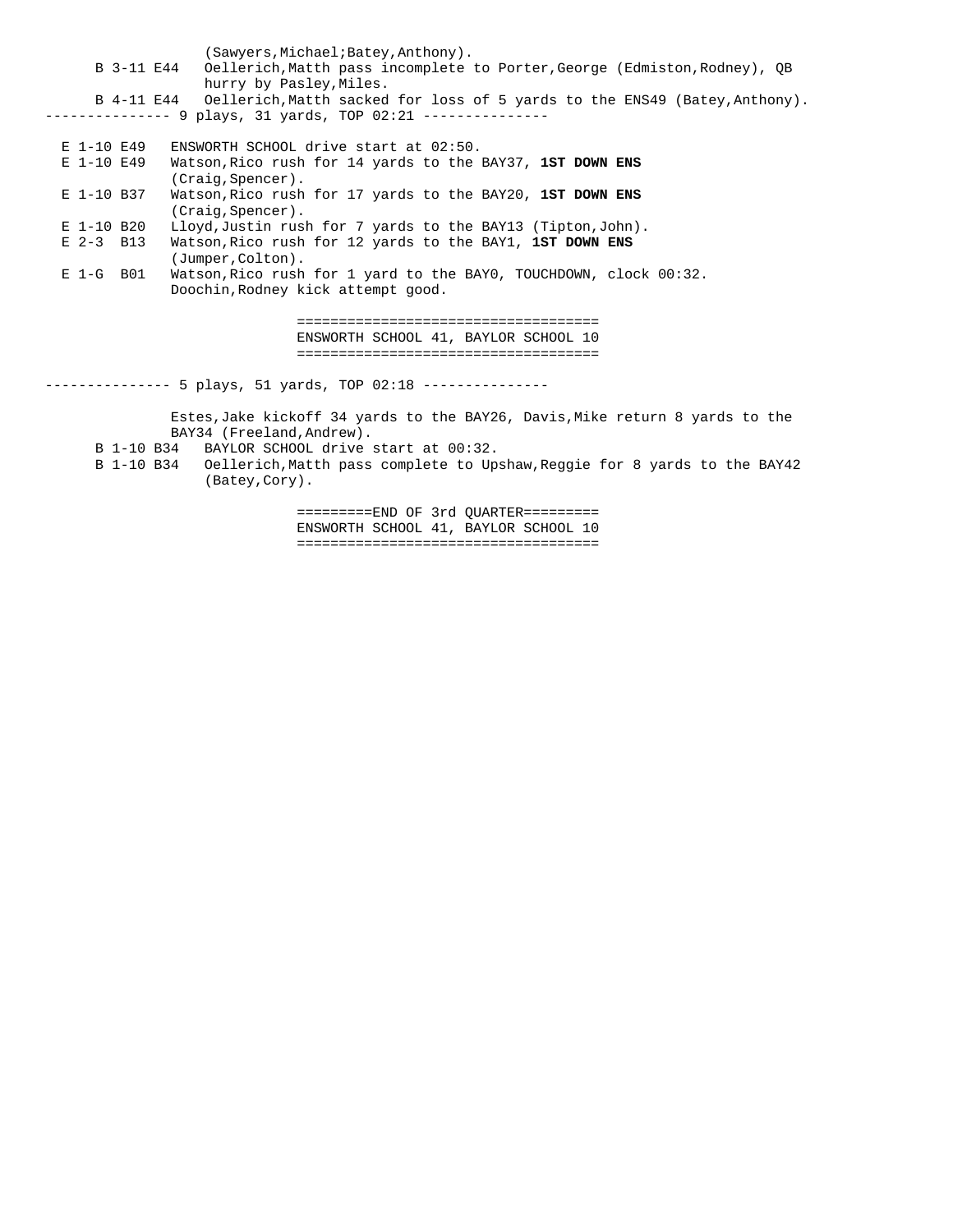(Sawyers, Michael; Batey, Anthony).<br>B 3-11 E44 Oellerich, Matth pass incomplete Oellerich, Matth pass incomplete to Porter, George (Edmiston, Rodney), QB hurry by Pasley, Miles. B 4-11 E44 Oellerich,Matth sacked for loss of 5 yards to the ENS49 (Batey,Anthony). -------------- 9 plays, 31 yards, TOP 02:21 --------------- E 1-10 E49 ENSWORTH SCHOOL drive start at 02:50. E 1-10 E49 Watson,Rico rush for 14 yards to the BAY37, **1ST DOWN ENS** (Craig,Spencer). E 1-10 B37 Watson,Rico rush for 17 yards to the BAY20, **1ST DOWN ENS** (Craig,Spencer). E 1-10 B20 Lloyd,Justin rush for 7 yards to the BAY13 (Tipton,John). E 2-3 B13 Watson,Rico rush for 12 yards to the BAY1, **1ST DOWN ENS** (Jumper,Colton). E 1-G B01 Watson,Rico rush for 1 yard to the BAY0, TOUCHDOWN, clock 00:32. Doochin,Rodney kick attempt good. ==================================== ENSWORTH SCHOOL 41, BAYLOR SCHOOL 10 ==================================== -------------- 5 plays, 51 yards, TOP 02:18 --------------- Estes,Jake kickoff 34 yards to the BAY26, Davis,Mike return 8 yards to the BAY34 (Freeland,Andrew). B 1-10 B34 BAYLOR SCHOOL drive start at 00:32. B 1-10 B34 Oellerich,Matth pass complete to Upshaw,Reggie for 8 yards to the BAY42

(Batey,Cory).

 =========END OF 3rd QUARTER========= ENSWORTH SCHOOL 41, BAYLOR SCHOOL 10 ====================================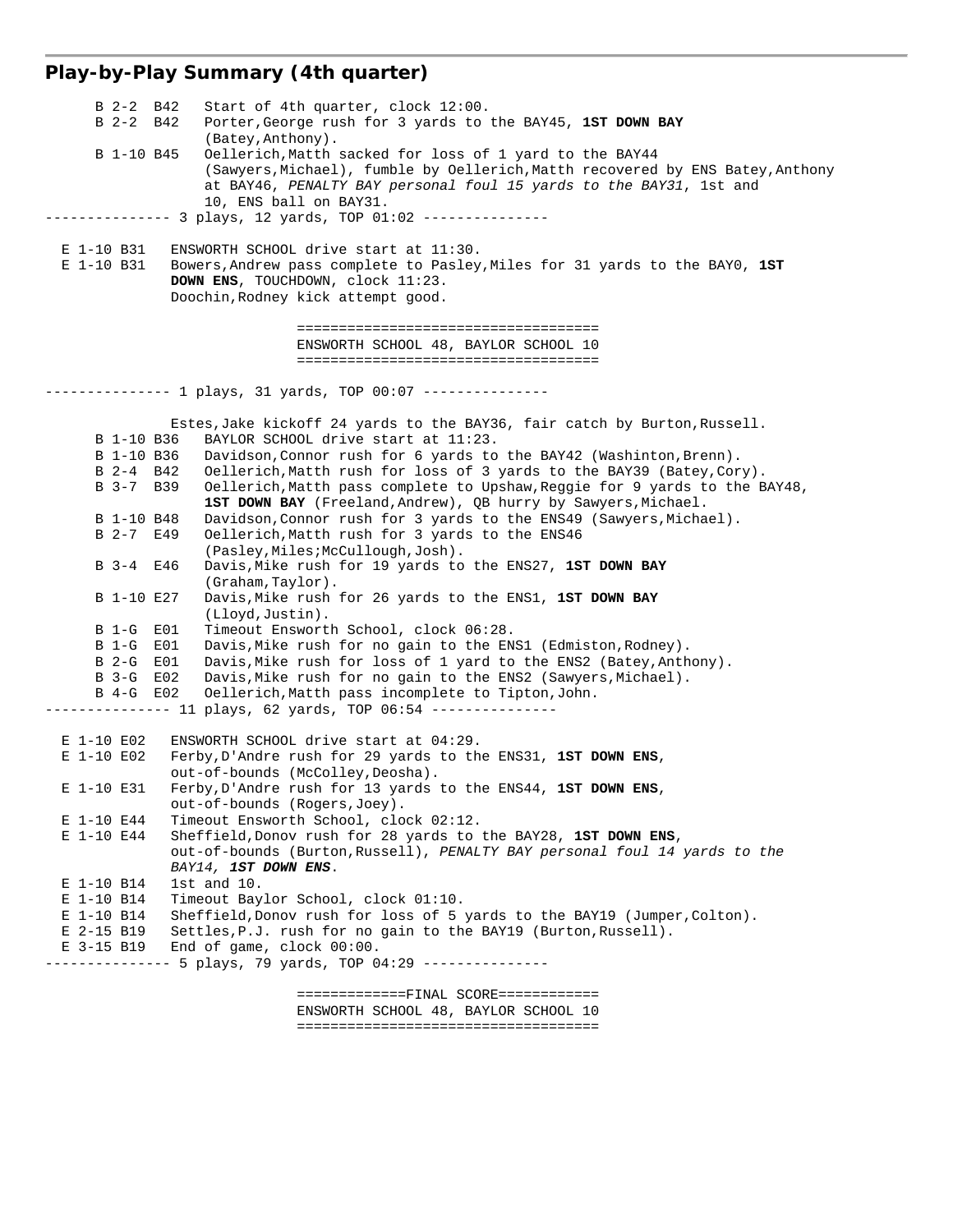# **Play-by-Play Summary (4th quarter)**

| B 2-2 B42<br>Start of 4th quarter, clock 12:00.                                                                                                            |
|------------------------------------------------------------------------------------------------------------------------------------------------------------|
| B 2-2 B42<br>Porter, George rush for 3 yards to the BAY45, 1ST DOWN BAY                                                                                    |
| (Batey, Anthony).<br>B 1-10 B45<br>Oellerich, Matth sacked for loss of 1 yard to the BAY44                                                                 |
| (Sawyers, Michael), fumble by Oellerich, Matth recovered by ENS Batey, Anthony                                                                             |
| at BAY46, PENALTY BAY personal foul 15 yards to the BAY31, 1st and                                                                                         |
| 10, ENS ball on BAY31.                                                                                                                                     |
|                                                                                                                                                            |
|                                                                                                                                                            |
| E 1-10 B31<br>ENSWORTH SCHOOL drive start at 11:30.<br>E 1-10 B31<br>Bowers, Andrew pass complete to Pasley, Miles for 31 yards to the BAY0, 1ST           |
| DOWN ENS, TOUCHDOWN, clock 11:23.                                                                                                                          |
| Doochin, Rodney kick attempt good.                                                                                                                         |
|                                                                                                                                                            |
|                                                                                                                                                            |
| ENSWORTH SCHOOL 48, BAYLOR SCHOOL 10                                                                                                                       |
| -------------------------------------                                                                                                                      |
| ------------- 1 plays, 31 yards, TOP 00:07 --------------                                                                                                  |
|                                                                                                                                                            |
| Estes, Jake kickoff 24 yards to the BAY36, fair catch by Burton, Russell.                                                                                  |
| BAYLOR SCHOOL drive start at 11:23.<br>B 1-10 B36                                                                                                          |
| B 1-10 B36<br>Davidson, Connor rush for 6 yards to the BAY42 (Washinton, Brenn).                                                                           |
| Oellerich, Matth rush for loss of 3 yards to the BAY39 (Batey, Cory).<br>B 2-4 B42                                                                         |
| Oellerich, Matth pass complete to Upshaw, Reggie for 9 yards to the BAY48,<br>B 3-7 B 39<br>1ST DOWN BAY (Freeland, Andrew), QB hurry by Sawyers, Michael. |
| B 1-10 B48<br>Davidson, Connor rush for 3 yards to the ENS49 (Sawyers, Michael).                                                                           |
| B 2-7 E49<br>Oellerich, Matth rush for 3 yards to the ENS46                                                                                                |
| (Pasley, Miles; McCullough, Josh).                                                                                                                         |
| B 3-4 E46<br>Davis, Mike rush for 19 yards to the ENS27, 1ST DOWN BAY                                                                                      |
| (Graham,Taylor).                                                                                                                                           |
| B 1-10 E27<br>Davis, Mike rush for 26 yards to the ENS1, 1ST DOWN BAY                                                                                      |
| (Lloyd, Justin).<br>Timeout Ensworth School, clock 06:28.<br>B 1-G E01                                                                                     |
| B 1-G E01<br>Davis, Mike rush for no gain to the ENS1 (Edmiston, Rodney).                                                                                  |
| B 2-G E01<br>Davis, Mike rush for loss of 1 yard to the ENS2 (Batey, Anthony).                                                                             |
| E02<br>Davis, Mike rush for no gain to the ENS2 (Sawyers, Michael).<br>B 3-G                                                                               |
| B 4-G E02<br>Oellerich, Matth pass incomplete to Tipton, John.                                                                                             |
| ----------- 11 plays, 62 yards, TOP 06:54 ---------------                                                                                                  |
| ENSWORTH SCHOOL drive start at 04:29.<br>E 1-10 E02                                                                                                        |
| E 1-10 E02<br>Ferby, D'Andre rush for 29 yards to the ENS31, 1ST DOWN ENS,                                                                                 |
| out-of-bounds (McColley, Deosha).                                                                                                                          |
| Ferby, D'Andre rush for 13 yards to the ENS44, 1ST DOWN ENS,<br>E 1-10 E31                                                                                 |
| out-of-bounds (Rogers, Joey).                                                                                                                              |
| E 1-10 E44<br>Timeout Ensworth School, clock 02:12.                                                                                                        |
| E 1-10 E44<br>Sheffield, Donov rush for 28 yards to the BAY28, 1ST DOWN ENS,                                                                               |
| out-of-bounds (Burton, Russell), PENALTY BAY personal foul 14 yards to the<br>BAY14, 1ST DOWN ENS.                                                         |
| E 1-10 B14<br>$1st$ and $10.$                                                                                                                              |
| E 1-10 B14<br>Timeout Baylor School, clock 01:10.                                                                                                          |
| Sheffield, Donov rush for loss of 5 yards to the BAY19 (Jumper, Colton).<br>E 1-10 B14                                                                     |
| Settles, P.J. rush for no gain to the BAY19 (Burton, Russell).<br>E 2-15 B19                                                                               |
| E 3-15 B19<br>End of game, clock 00:00.                                                                                                                    |
| --------- 5 plays, 79 yards, TOP 04:29 ---------------                                                                                                     |
| =============FINAL SCORE============                                                                                                                       |
|                                                                                                                                                            |

 ENSWORTH SCHOOL 48, BAYLOR SCHOOL 10 ====================================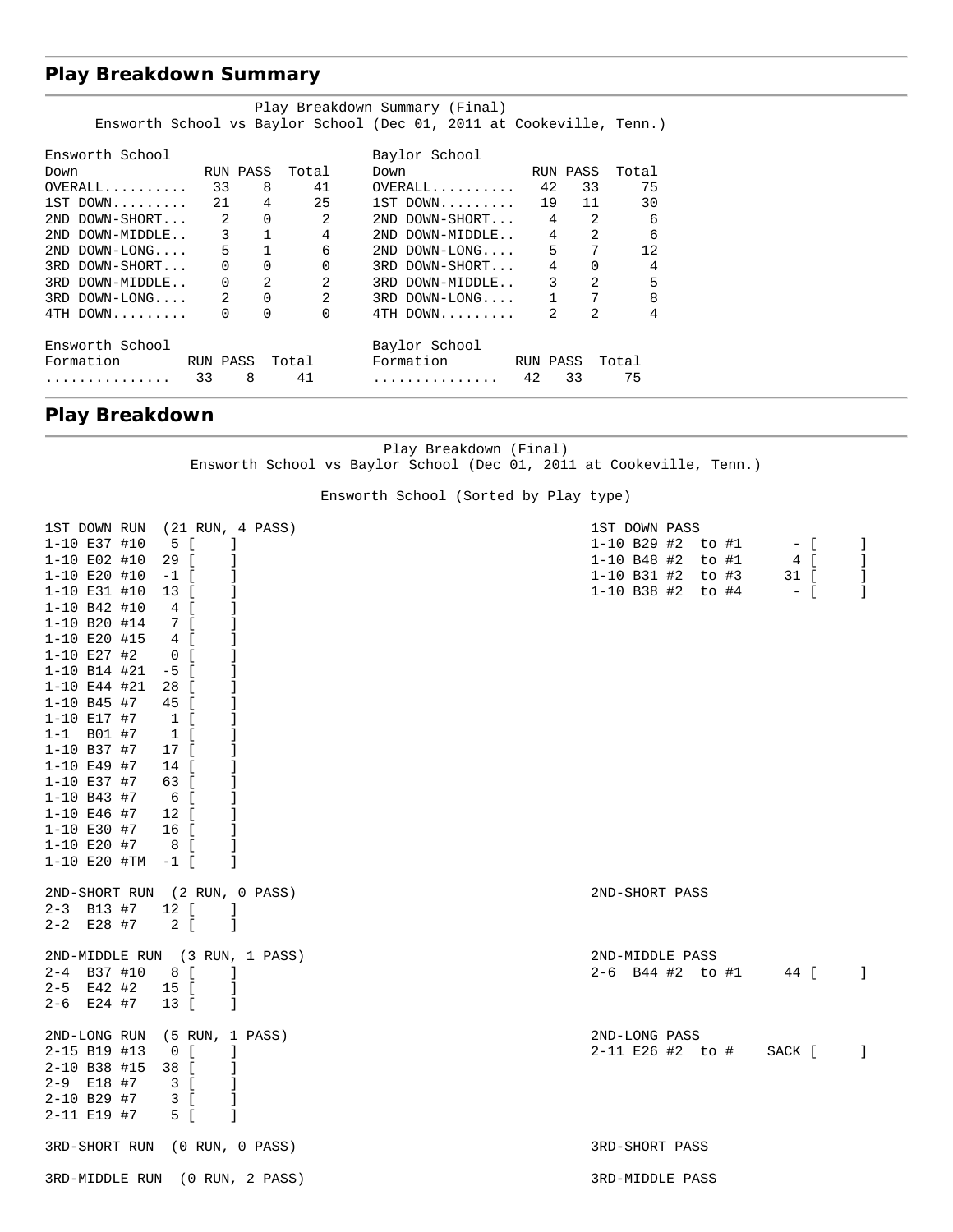## **Play Breakdown Summary**

| Play Breakdown Summary (Final) |                            |              |                |                                                                      |              |                              |       |
|--------------------------------|----------------------------|--------------|----------------|----------------------------------------------------------------------|--------------|------------------------------|-------|
|                                |                            |              |                | Ensworth School vs Baylor School (Dec 01, 2011 at Cookeville, Tenn.) |              |                              |       |
| Ensworth School                |                            |              |                | Baylor School                                                        |              |                              |       |
| Down                           | RIIN PASS                  |              | Total          | Down                                                                 |              | RUN PASS                     | Total |
| $OVERALL$                      | 33                         | 8            | 41             | $OVERALL$                                                            | 42           | 33                           | 75    |
| $1ST$ DOWN                     | 21                         | 4            | 25             | $1ST$ DOWN 19                                                        |              | 11                           | 30    |
| 2ND DOWN-SHORT                 | $\overline{\phantom{a}}$ 2 | $\Omega$     | $\mathfrak{D}$ | 2ND DOWN-SHORT                                                       | 4            | $\mathfrak{D}$               | 6     |
| 2ND DOWN-MIDDLE                | $\overline{\phantom{a}}$   | $\mathbf{1}$ | 4              | 2ND DOWN-MIDDLE                                                      |              | $\mathfrak{D}$<br>$4\degree$ | 6     |
| $2ND$ $DOMN-LONG$              | $5^{\circ}$                | $\mathbf{1}$ | 6              | 2ND DOWN-LONG                                                        | 5            | 7                            | 12.   |
| 3RD DOWN-SHORT                 | $\Omega$                   | $\Omega$     | $\Omega$       | 3RD DOWN-SHORT                                                       | 4            | $\Omega$                     | 4     |
| 3RD DOWN-MIDDLE                | $\Omega$                   | 2            | 2              | 3RD DOWN-MIDDLE                                                      | 3            | $\mathcal{D}$                | 5     |
| 3RD DOWN-LONG                  | $\mathfrak{D}$             | $\Omega$     | $\mathfrak{D}$ | 3RD DOWN-LONG                                                        | $\mathbf{1}$ | 7                            | 8     |
| $4TH$ DOWN                     | $\Omega$                   | $\Omega$     | $\Omega$       | 4TH DOWN                                                             | 2            | $\mathfrak{D}$               | 4     |
| Ensworth School                |                            |              |                | Baylor School                                                        |              |                              |       |
| Formation                      | RUN PASS                   |              | Total          | Formation                                                            | RUN PASS     |                              | Total |
| .                              | 8<br>33                    |              | 41             | .                                                                    | 42           | 33                           | 75    |

## **Play Breakdown**

Play Breakdown (Final) Ensworth School vs Baylor School (Dec 01, 2011 at Cookeville, Tenn.)

Ensworth School (Sorted by Play type)

| 1ST DOWN RUN                   |                    | (21 RUN, 4 PASS) | 1ST DOWN PASS                                    |
|--------------------------------|--------------------|------------------|--------------------------------------------------|
| 1-10 E37 #10                   | 5 [                | -1               | 1-10 B29 #2 to #1<br>$-$ [<br>$\mathbf{I}$       |
| $1 - 10$ E02 #10               | 29 [               | -1               | $1 - 10$ B48 #2<br>to #1<br>4 [<br>-1            |
| 1-10 E20 #10                   | $-1$ [             |                  | 1-10 B31 #2 to #3<br>31 [<br>-1                  |
| 1-10 E31 #10                   | 13 [               |                  | 1-10 B38 #2 to #4<br>$\overline{1}$<br>$ \Gamma$ |
| 1-10 B42 #10                   | 4 [                | 1                |                                                  |
| $1 - 10$ B20 #14               | 7 [                | -1               |                                                  |
| 1-10 E20 #15                   | 4 [                |                  |                                                  |
| $1 - 10$ E27 #2                | $0$ [              | 1                |                                                  |
| $1 - 10$ B14 #21               | $-5$ [             | -1               |                                                  |
| $1 - 10$ E44 #21               | 28 [               | 1                |                                                  |
| $1 - 10$ B45 #7                | 45 [               |                  |                                                  |
| $1 - 10$ E17 #7                | 1 <sup>1</sup>     |                  |                                                  |
| $1 - 1$ B01 #7                 | $1 \left[ \right]$ | -1               |                                                  |
| 1-10 B37 #7                    | 17 [               | 1                |                                                  |
| $1 - 10$ E49 #7                | 14 [               | -1               |                                                  |
| 1-10 E37 #7                    | 63 [               |                  |                                                  |
| $1 - 10$ B43 #7                | 6 [                | -1               |                                                  |
| $1 - 10$ E46 #7                | 12 [               |                  |                                                  |
| $1 - 10$ E30 #7                | 16 [               | -1               |                                                  |
| $1 - 10$ E20 #7                | 8[                 |                  |                                                  |
| $1-10$ E20 #TM $-1$ [          |                    | -1               |                                                  |
| 2ND-SHORT RUN (2 RUN, 0 PASS)  |                    |                  | 2ND-SHORT PASS                                   |
| $2 - 3$ B13 #7                 | 12 [               | - 1              |                                                  |
| $2 - 2$ E28 #7                 | $2 \left[ \right]$ | - 1              |                                                  |
| 2ND-MIDDLE RUN (3 RUN, 1 PASS) |                    |                  | 2ND-MIDDLE PASS                                  |
| $2 - 4$ B37 #10                | 8 [                | $\blacksquare$   | $2-6$ B44 #2 to #1<br>44 [<br>$\Box$             |
| $2-5$ E42 #2                   | 15 [               | -1               |                                                  |
| $2-6$ E24 #7                   | 13 [               | -1               |                                                  |
| 2ND-LONG RUN                   |                    | (5 RUN, 1 PASS)  | 2ND-LONG PASS                                    |
| 2-15 B19 #13                   | 0 <sub>l</sub>     | -1               | 2-11 E26 #2 to #<br>SACK [<br>$\Box$             |
| 2-10 B38 #15                   | 38 [               |                  |                                                  |
| 2-9 E18 #7                     | 3 [                | -1               |                                                  |
| $2 - 10$ B29 #7                | 3 [                | -1               |                                                  |
| 2-11 E19 #7                    | 5 [                | -1               |                                                  |
| 3RD-SHORT RUN (0 RUN, 0 PASS)  |                    |                  | 3RD-SHORT PASS                                   |
| 3RD-MIDDLE RUN (0 RUN, 2 PASS) |                    |                  | 3RD-MIDDLE PASS                                  |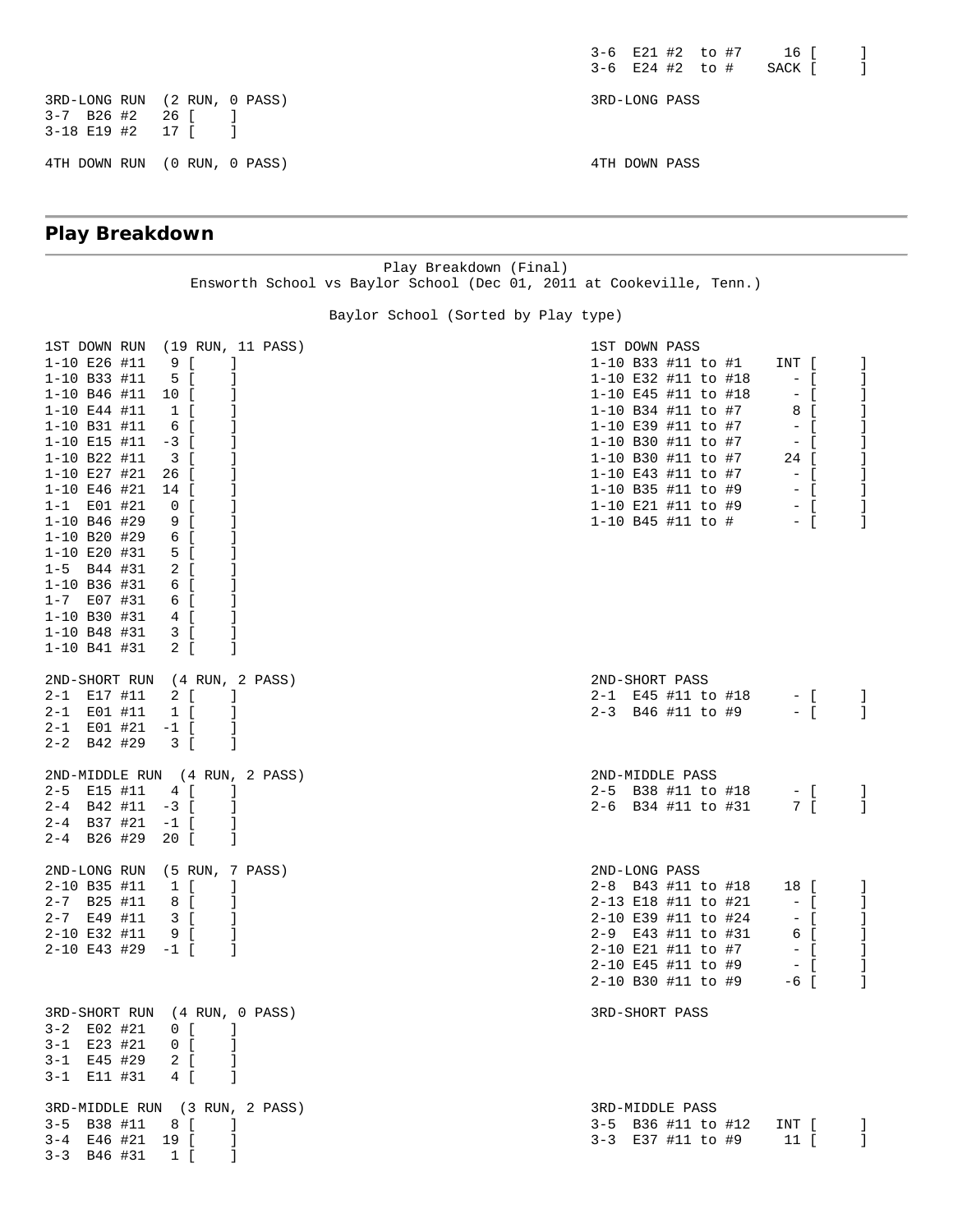$3-6$  E21 #2 to #7 16 [ ]  $3-6$  E24  $\#2$  to  $\#$  SACK [ ]

3RD-LONG RUN (2 RUN, 0 PASS) 3RD-LONG PASS 3-7 B26 #2 26 [ ] 3-18 E19 #2 17 [ ] 4TH DOWN RUN (0 RUN, 0 PASS) 4TH DOWN PASS

## **Play Breakdown**

Play Breakdown (Final) Ensworth School vs Baylor School (Dec 01, 2011 at Cookeville, Tenn.)

Baylor School (Sorted by Play type)

| 1-10 E26 #11<br>$1 - 10$ B33 #11<br>$1-10$ B46 #11 10 [<br>$1 - 10$ E44 #11<br>1-10 B31 #11<br>1-10 E15 #11<br>1-10 B22 #11<br>1-10 E27 #21<br>$1 - 10$ E46 #21<br>$1 - 1$ E01 #21<br>$1 - 10$ B46 #29<br>$1 - 10$ B20 #29<br>1-10 E20 #31<br>$1-5$ B44 #31<br>$1 - 10$ B36 #31<br>$1 - 7$ E07 #31<br>1-10 B30 #31<br>1-10 B48 #31<br>$1 - 10$ B41 #31 | 1ST DOWN RUN (19 RUN, 11 PASS)<br>9 <sub>1</sub><br>-1<br>5 [<br>-1<br>J.<br>1 <sup>1</sup><br>6 [<br>$\mathbf{1}$<br>$-3$ [<br>$\overline{\phantom{a}3}$ [<br>26 [<br>- 1<br>14 [<br>$\begin{array}{cc} 0 & \end{array}$<br>$\Box$<br>9 [<br>6 [<br>5 [<br>- 1<br>2 [<br>6 [<br>6 [<br>- 1<br>4 [<br>$\overline{3}$ [<br>-1<br>2 [<br>-1 | 1ST DOWN PASS<br>1-10 B33 #11 to #1<br>INT [<br>1-10 E32 #11 to #18<br>$  \left[$<br>1-10 E45 #11 to #18<br>$-$ [<br>1-10 B34 #11 to #7<br>8 [<br>1-10 E39 #11 to #7<br>$-$ [<br>1-10 B30 #11 to #7<br>$-$ [<br>1-10 B30 #11 to #7<br>24 [<br>1-10 E43 #11 to #7<br>1-10 B35 #11 to #9<br>$-$ [<br>1-10 E21 #11 to #9 - [<br>1-10 B45 #11 to #<br>$-$ [ | -1<br>1<br>1<br>-1<br>-1 |
|--------------------------------------------------------------------------------------------------------------------------------------------------------------------------------------------------------------------------------------------------------------------------------------------------------------------------------------------------------|-------------------------------------------------------------------------------------------------------------------------------------------------------------------------------------------------------------------------------------------------------------------------------------------------------------------------------------------|---------------------------------------------------------------------------------------------------------------------------------------------------------------------------------------------------------------------------------------------------------------------------------------------------------------------------------------------------------|--------------------------|
| $2 - 1$ E17 #11 2 [<br>$2 - 1$ E01 #11<br>$2 - 1$ E01 #21 $-1$ [<br>$2 - 2$ B42 #29                                                                                                                                                                                                                                                                    | 2ND-SHORT RUN (4 RUN, 2 PASS)<br>$\blacksquare$<br>$1\left[ \right]$<br>-1<br>-1<br>$\overline{\phantom{a}3}$ [<br>- 1                                                                                                                                                                                                                    | 2ND-SHORT PASS<br>2-1 E45 #11 to #18 - [<br>2-3 B46 #11 to #9 - [                                                                                                                                                                                                                                                                                       | J.<br>-1                 |
| 2-5 E15 #11<br>$2-4$ B42 #11 $-3$ [<br>$2-4$ B37 #21 $-1$ [<br>$2-4$ B26 #29 20 [                                                                                                                                                                                                                                                                      | 2ND-MIDDLE RUN (4 RUN, 2 PASS)<br>4 [<br>- 1<br>-1<br>$\overline{\phantom{a}}$<br>$\blacksquare$                                                                                                                                                                                                                                          | 2ND-MIDDLE PASS<br>2-5 B38 #11 to #18 - [<br>2-6 B34 #11 to #31 7 [                                                                                                                                                                                                                                                                                     | J.<br>-1                 |
| $2 - 10$ B35 #11<br>$2 - 7$ B25 #11<br>$2 - 7$ E49 #11<br>2-10 E32 #11<br>$2 - 10$ E43 #29 $-1$ [                                                                                                                                                                                                                                                      | 2ND-LONG RUN (5 RUN, 7 PASS)<br>$1 \quad$<br>-1<br>$8$ [ ]<br>3 <sup>1</sup><br>$\Box$<br>9 [<br>$\blacksquare$                                                                                                                                                                                                                           | 2ND-LONG PASS<br>2-8 B43 #11 to #18<br>18 [<br>2-13 E18 #11 to #21<br>$-$ [<br>2-10 E39 #11 to #24<br>$-$ [<br>2-9 E43 #11 to #31<br>6 [<br>2-10 E21 #11 to #7<br>$  \left[$<br>2-10 E45 #11 to #9<br>$-$ [<br>2-10 B30 #11 to #9<br>$-6$ [                                                                                                             | -1<br>-1<br>1<br>-1<br>1 |
| 3-2 E02 #21 0 [ ]<br>$3 - 1$ E23 #21<br>$3-1$ E45 #29 2 [ ]<br>3-1 E11 #31                                                                                                                                                                                                                                                                             | 3RD-SHORT RUN (4 RUN, 0 PASS)<br>$\begin{array}{cc} 0 & \end{array}$<br>4 [<br>-1                                                                                                                                                                                                                                                         | 3RD-SHORT PASS                                                                                                                                                                                                                                                                                                                                          |                          |
| $3-5$ B38 #11 8 [ ]<br>3-4 E46 #21 19 [ ]<br>$3-3$ B46 #31 1 [                                                                                                                                                                                                                                                                                         | 3RD-MIDDLE RUN (3 RUN, 2 PASS)<br>Ι.                                                                                                                                                                                                                                                                                                      | 3RD-MIDDLE PASS<br>3-5 B36 #11 to #12 INT [<br>3-3 E37 #11 to #9 11 [                                                                                                                                                                                                                                                                                   | -1                       |